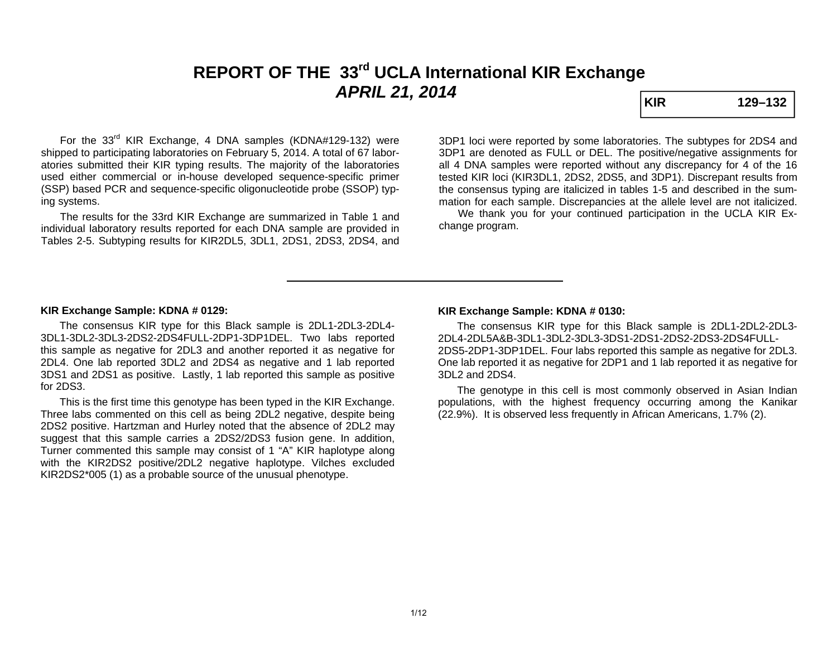# **REPORT OF THE 33rd UCLA International KIR Exchange**  *APRIL 21, 2014* **KIR KIR** 129–132

For the 33<sup>rd</sup> KIR Exchange, 4 DNA samples (KDNA#129-132) were shipped to participating laboratories on February 5, 2014. A total of 67 laboratories submitted their KIR typing results. The majority of the laboratories used either commercial or in-house developed sequence-specific primer (SSP) based PCR and sequence-specific oligonucleotide probe (SSOP) typing systems.

 The results for the 33rd KIR Exchange are summarized in Table 1 and individual laboratory results reported for each DNA sample are provided in Tables 2-5. Subtyping results for KIR2DL5, 3DL1, 2DS1, 2DS3, 2DS4, and

3DP1 loci were reported by some laboratories. The subtypes for 2DS4 and 3DP1 are denoted as FULL or DEL. The positive/negative assignments for all 4 DNA samples were reported without any discrepancy for 4 of the 16 tested KIR loci (KIR3DL1, 2DS2, 2DS5, and 3DP1). Discrepant results from the consensus typing are italicized in tables 1-5 and described in the summation for each sample. Discrepancies at the allele level are not italicized.

 We thank you for your continued participation in the UCLA KIR Exchange program.

### **KIR Exchange Sample: KDNA # 0129:**

 The consensus KIR type for this Black sample is 2DL1-2DL3-2DL4- 3DL1-3DL2-3DL3-2DS2-2DS4FULL-2DP1-3DP1DEL. Two labs reported this sample as negative for 2DL3 and another reported it as negative for 2DL4. One lab reported 3DL2 and 2DS4 as negative and 1 lab reported 3DS1 and 2DS1 as positive. Lastly, 1 lab reported this sample as positive for 2DS3.

 This is the first time this genotype has been typed in the KIR Exchange. Three labs commented on this cell as being 2DL2 negative, despite being 2DS2 positive. Hartzman and Hurley noted that the absence of 2DL2 may suggest that this sample carries a 2DS2/2DS3 fusion gene. In addition, Turner commented this sample may consist of 1 "A" KIR haplotype along with the KIR2DS2 positive/2DL2 negative haplotype. Vilches excluded KIR2DS2\*005 (1) as a probable source of the unusual phenotype.

### **KIR Exchange Sample: KDNA # 0130:**

 The consensus KIR type for this Black sample is 2DL1-2DL2-2DL3- 2DL4-2DL5A&B-3DL1-3DL2-3DL3-3DS1-2DS1-2DS2-2DS3-2DS4FULL-2DS5-2DP1-3DP1DEL. Four labs reported this sample as negative for 2DL3. One lab reported it as negative for 2DP1 and 1 lab reported it as negative for 3DL2 and 2DS4.

 The genotype in this cell is most commonly observed in Asian Indian populations, with the highest frequency occurring among the Kanikar (22.9%). It is observed less frequently in African Americans, 1.7% (2).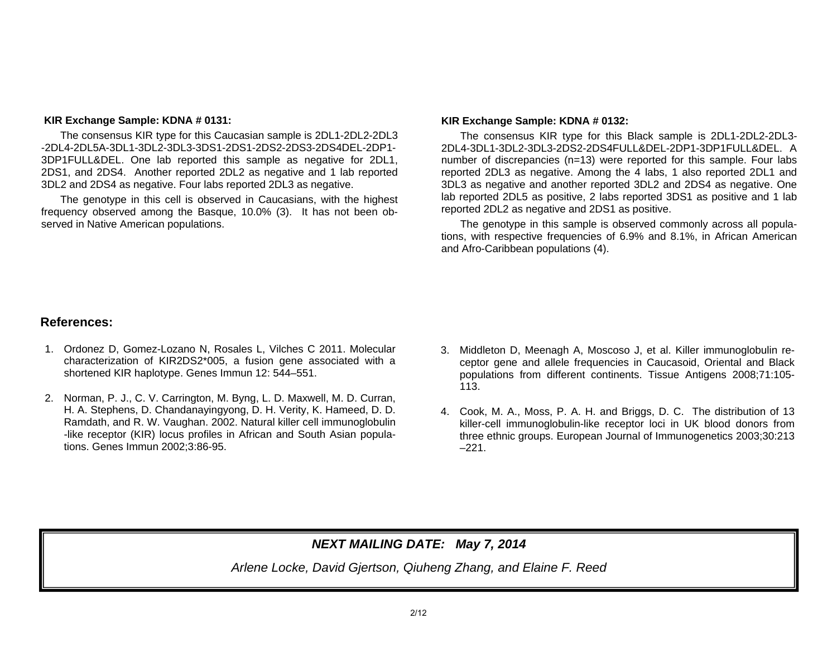### **KIR Exchange Sample: KDNA # 0131:**

 The consensus KIR type for this Caucasian sample is 2DL1-2DL2-2DL3 -2DL4-2DL5A-3DL1-3DL2-3DL3-3DS1-2DS1-2DS2-2DS3-2DS4DEL-2DP1-3DP1FULL&DEL. One lab reported this sample as negative for 2DL1, 2DS1, and 2DS4. Another reported 2DL2 as negative and 1 lab reported 3DL2 and 2DS4 as negative. Four labs reported 2DL3 as negative.

 The genotype in this cell is observed in Caucasians, with the highest frequency observed among the Basque, 10.0% (3). It has not been observed in Native American populations.

#### **KIR Exchange Sample: KDNA # 0132:**

The consensus KIR type for this Black sample is 2DL1-2DL2-2DL3- 2DL4-3DL1-3DL2-3DL3-2DS2-2DS4FULL&DEL-2DP1-3DP1FULL&DEL. A number of discrepancies (n=13) were reported for this sample. Four labs reported 2DL3 as negative. Among the 4 labs, 1 also reported 2DL1 and 3DL3 as negative and another reported 3DL2 and 2DS4 as negative. One lab reported 2DL5 as positive, 2 labs reported 3DS1 as positive and 1 lab reported 2DL2 as negative and 2DS1 as positive.

 The genotype in this sample is observed commonly across all populations, with respective frequencies of 6.9% and 8.1%, in African American and Afro-Caribbean populations (4).

### **References:**

- 1. Ordonez D, Gomez-Lozano N, Rosales L, Vilches C 2011. Molecular characterization of KIR2DS2\*005, a fusion gene associated with a shortened KIR haplotype. Genes Immun 12: 544–551.
- 2. Norman, P. J., C. V. Carrington, M. Byng, L. D. Maxwell, M. D. Curran, H. A. Stephens, D. Chandanayingyong, D. H. Verity, K. Hameed, D. D. Ramdath, and R. W. Vaughan. 2002. Natural killer cell immunoglobulin -like receptor (KIR) locus profiles in African and South Asian populations. Genes Immun 2002;3:86-95.
- 3. Middleton D, Meenagh A, Moscoso J, et al. Killer immunoglobulin receptor gene and allele frequencies in Caucasoid, Oriental and Black populations from different continents. Tissue Antigens 2008;71:105- 113.
- 4. Cook, M. A., Moss, P. A. H. and Briggs, D. C. The distribution of 13 killer-cell immunoglobulin-like receptor loci in UK blood donors from three ethnic groups. European Journal of Immunogenetics 2003;30:213  $-221.$

## *NEXT MAILING DATE: May 7, 2014*

*Arlene Locke, David Gjertson, Qiuheng Zhang, and Elaine F. Reed*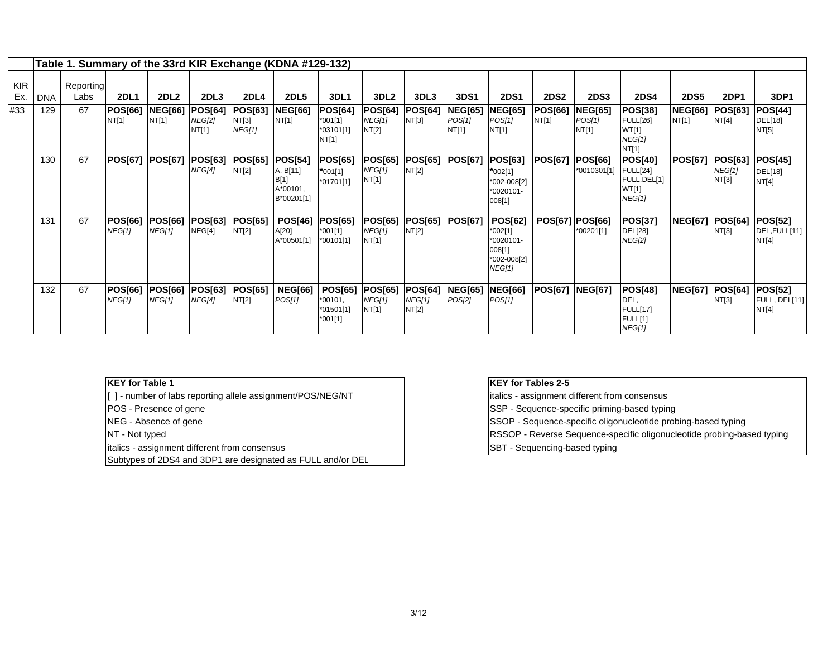|                   |            | Table 1. Summary of the 33rd KIR Exchange (KDNA #129-132) |                                 |                          |                                   |                                          |                                                              |                                                        |                                          |                                   |                                   |                                                                                  |                         |                               |                                                                      |                         |                                   |                                          |
|-------------------|------------|-----------------------------------------------------------|---------------------------------|--------------------------|-----------------------------------|------------------------------------------|--------------------------------------------------------------|--------------------------------------------------------|------------------------------------------|-----------------------------------|-----------------------------------|----------------------------------------------------------------------------------|-------------------------|-------------------------------|----------------------------------------------------------------------|-------------------------|-----------------------------------|------------------------------------------|
| <b>KIR</b><br>Ex. | <b>DNA</b> | Reporting<br>Labs                                         | <b>2DL1</b>                     | <b>2DL2</b>              | 2DL <sub>3</sub>                  | <b>2DL4</b>                              | <b>2DL5</b>                                                  | <b>3DL1</b>                                            | 3DL <sub>2</sub>                         | 3DL3                              | <b>3DS1</b>                       | <b>2DS1</b>                                                                      | <b>2DS2</b>             | <b>2DS3</b>                   | <b>2DS4</b>                                                          | <b>2DS5</b>             | <b>2DP1</b>                       | 3DP1                                     |
| #33               | 129        | 67                                                        | <b>POS[66]</b><br>NT[1]         | <b>NEG[66]</b><br>NT[1]  | <b>POS[64]</b><br>NEG[2]<br>NT[1] | <b>POS[63]</b><br>NT[3]<br><b>NEG[1]</b> | <b>NEG[66]</b><br>NT[1]                                      | <b>POS[64]</b><br>$*001[1]$<br>*03101[1]<br>NT[1]      | <b>POS[64]</b><br><b>NEG[1]</b><br>NT[2] | <b>POS[64]</b><br>NT[3]           | <b>NEG[65]</b><br>POS[1]<br>NT[1] | <b>NEG[65]</b><br>POS[1]<br>NT[1]                                                | <b>POS[66]</b><br>NT[1] | NEG[65]<br>POS[1]<br>NT[1]    | POS[38]<br><b>FULL[26]</b><br>WT[1]<br>NEG[1]<br>NT[1]               | <b>NEG[66]</b><br>NT[1] | <b>POS[63]</b><br>NT[4]           | <b>POS[44]</b><br>DEL[18]<br>NT[5]       |
|                   | 130        | 67                                                        | <b>POS[67]</b>                  | <b>POS[67]</b>           | <b>POS[63]</b><br>NEG[4]          | <b>POS[65]</b><br>NT[2]                  | <b>POS[54]</b><br>A, B[11]<br>B[1]<br>A*00101,<br>B*00201[1] | <b>POS[65]</b><br>$*001[1]$<br>*01701[1]               | <b>POS[65]</b><br><b>NEG[1]</b><br>NT[1] | <b>POS[65]</b><br>NT[2]           | <b>POS[67]</b>                    | <b>POS[63]</b><br>*002[1]<br>*002-008[2]<br>*0020101-<br>008[1]                  | <b>POS[67]</b>          | <b>POS[66]</b><br>*0010301[1] | <b>POS[40]</b><br><b>FULL[24]</b><br>FULL, DEL[1]<br>WT[1]<br>NEG[1] | <b>POS[67]</b>          | <b>POS[63]</b><br>NEG[1]<br>NT[3] | <b>POS[45]</b><br>DEL[18]<br>NT[4]       |
|                   | 131        | 67                                                        | <b>POS[66]</b><br><b>NEG[1]</b> | <b>POS[66]</b><br>NEG[1] | <b>POS[63]</b><br>NEG[4]          | <b>POS[65]</b><br>NT[2]                  | <b>POS[46]</b><br>A[20]<br>A*00501[1]                        | <b>POS[65]</b><br>$*001[1]$<br>*00101[1]               | <b>POS[65]</b><br><b>NEG[1]</b><br>NT[1] | <b>POS[65]</b><br>NT[2]           | <b>POS[67]</b>                    | <b>POS[62]</b><br>*002[1]<br>*0020101-<br>008[1]<br>*002-008[2]<br><b>NEG[1]</b> | POS[67] POS[66]         | *00201[1]                     | <b>POS[37]</b><br><b>DEL[28]</b><br>NEG[2]                           | <b>NEG[67]</b>          | <b>POS[64]</b><br>NT[3]           | <b>POS[52]</b><br>DEL, FULL[11]<br>NT[4] |
|                   | 132        | 67                                                        | <b>POS[66]</b><br>NEG[1]        | <b>POS[66]</b><br>NEG[1] | <b>POS[63]</b><br>NEG[4]          | <b>POS[65]</b><br>NT[2]                  | <b>NEG[66]</b><br>POS[1]                                     | <b>POS[65]</b><br>$*00101$ ,<br>*01501[1]<br>$*001[1]$ | <b>POS[65]</b><br><b>NEG[1]</b><br>NT[1] | <b>POS[64]</b><br>NEG[1]<br>NT[2] | <b>NEG[65]</b><br>POS[2]          | <b>NEG[66]</b><br>POS[1]                                                         | <b>POS[67]</b>          | <b>NEG[67]</b>                | <b>POS[48]</b><br>DEL,<br><b>FULL[17]</b><br>FULL[1]<br>NEG[1]       | <b>NEG[67]</b>          | POS[64]<br>NT[3]                  | <b>POS[52]</b><br>FULL, DEL[11]<br>NT[4] |

### **KEY for Table 1**

[1] - number of labs reporting allele assignment/POS/NEG/NT italics - assignment different from consensus

- 
- 
- 
- italics assignment different from consensus SBT Sequencing-based typing

Subtypes of 2DS4 and 3DP1 are designated as FULL and/or DEL

### **KEY for Tables 2-5**

POS - Presence of gene Sequence-specific priming-based typing

NEG - Absence of gene SSOP - Sequence-specific oligonucleotide probing-based typing

NT - Not typed **RSSOP** - Reverse Sequence-specific oligonucleotide probing-based typing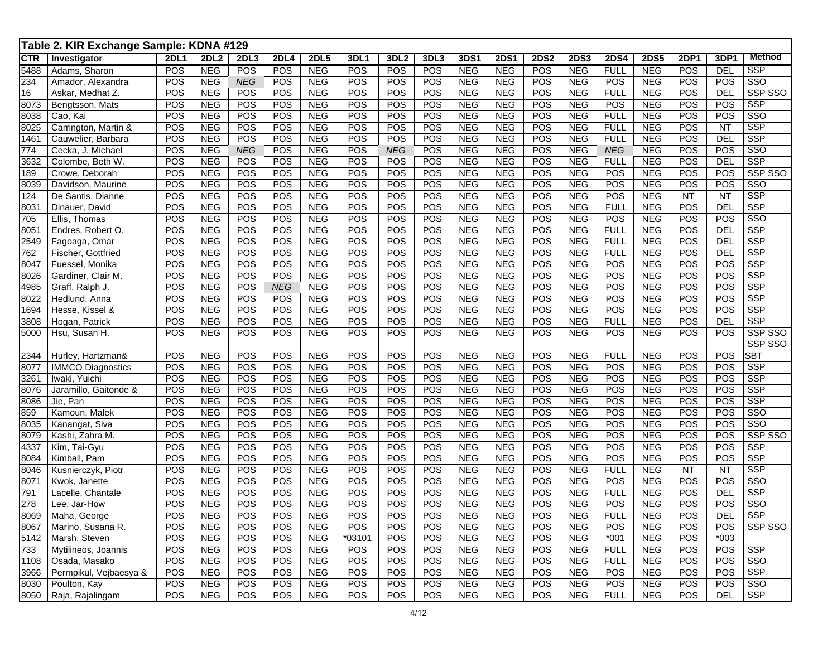|              | Table 2. KIR Exchange Sample: KDNA #129       |             |                          |            |             |                          |            |            |            |                          |                          |            |                          |                    |                          |             |                  |                         |
|--------------|-----------------------------------------------|-------------|--------------------------|------------|-------------|--------------------------|------------|------------|------------|--------------------------|--------------------------|------------|--------------------------|--------------------|--------------------------|-------------|------------------|-------------------------|
| <b>CTR</b>   | Investigator                                  | <b>2DL1</b> | 2DL <sub>2</sub>         | 2DL3       | <b>2DL4</b> | <b>2DL5</b>              | 3DL1       | 3DL2       | 3DL3       | 3DS1                     | <b>2DS1</b>              | 2DS2       | <b>2DS3</b>              | <b>2DS4</b>        | <b>2DS5</b>              | <b>2DP1</b> | 3DP <sup>1</sup> | Method                  |
| 5488         | Adams, Sharon                                 | POS         | <b>NEG</b>               | POS        | POS         | <b>NEG</b>               | POS        | POS        | POS        | <b>NEG</b>               | <b>NEG</b>               | POS        | <b>NEG</b>               | <b>FULL</b>        | <b>NEG</b>               | POS         | <b>DEL</b>       | <b>SSP</b>              |
| 234          | Amador, Alexandra                             | POS         | <b>NEG</b>               | <b>NEG</b> | POS         | <b>NEG</b>               | POS        | POS        | POS        | <b>NEG</b>               | <b>NEG</b>               | POS        | <b>NEG</b>               | POS                | <b>NEG</b>               | POS         | POS              | $\overline{\text{SSO}}$ |
| 16           | Askar, Medhat Z.                              | POS         | <b>NEG</b>               | POS        | POS         | <b>NEG</b>               | POS        | POS        | POS        | <b>NEG</b>               | <b>NEG</b>               | POS        | <b>NEG</b>               | <b>FULL</b>        | <b>NEG</b>               | POS         | <b>DEL</b>       | SSP SSO                 |
| 8073         | Bengtsson, Mats                               | POS         | <b>NEG</b>               | POS        | POS         | <b>NEG</b>               | POS        | POS        | POS        | <b>NEG</b>               | <b>NEG</b>               | POS        | <b>NEG</b>               | POS                | <b>NEG</b>               | POS         | POS              | <b>SSP</b>              |
| 8038         | Cao, Kai                                      | POS         | <b>NEG</b>               | POS        | POS         | <b>NEG</b>               | POS        | POS        | POS        | <b>NEG</b>               | <b>NEG</b>               | POS        | <b>NEG</b>               | <b>FULL</b>        | <b>NEG</b>               | POS         | POS              | $\overline{\text{SSO}}$ |
| 8025         | Carrington, Martin &                          | POS         | <b>NEG</b>               | POS        | POS         | <b>NEG</b>               | POS        | POS        | POS        | <b>NEG</b>               | <b>NEG</b>               | POS        | <b>NEG</b>               | <b>FULL</b>        | <b>NEG</b>               | POS         | <b>NT</b>        | <b>SSP</b>              |
| 1461         | Cauwelier, Barbara                            | POS         | <b>NEG</b>               | POS        | POS         | <b>NEG</b>               | POS        | POS        | POS        | <b>NEG</b>               | <b>NEG</b>               | POS        | <b>NEG</b>               | <b>FULL</b>        | <b>NEG</b>               | POS         | <b>DEL</b>       | <b>SSP</b>              |
| 774          | Cecka, J. Michael                             | POS         | <b>NEG</b>               | <b>NEG</b> | POS         | <b>NEG</b>               | POS        | <b>NEG</b> | POS        | <b>NEG</b>               | <b>NEG</b>               | POS        | <b>NEG</b>               | <b>NEG</b>         | <b>NEG</b>               | POS         | POS              | $\overline{\text{SSO}}$ |
| 3632         | Colombe, Beth W.                              | POS         | <b>NEG</b>               | POS        | POS         | <b>NEG</b>               | POS        | POS        | POS        | <b>NEG</b>               | <b>NEG</b>               | POS        | <b>NEG</b>               | <b>FULL</b>        | <b>NEG</b>               | POS         | <b>DEL</b>       | <b>SSP</b>              |
| 189          | Crowe, Deborah                                | POS         | <b>NEG</b>               | POS        | POS         | <b>NEG</b>               | POS        | POS        | POS        | <b>NEG</b>               | <b>NEG</b>               | POS        | <b>NEG</b>               | POS                | <b>NEG</b>               | POS         | POS              | SSP SSO                 |
| 8039         | Davidson, Maurine                             | POS         | <b>NEG</b>               | POS        | POS         | <b>NEG</b>               | POS        | POS        | POS        | <b>NEG</b>               | <b>NEG</b>               | POS        | <b>NEG</b>               | POS                | <b>NEG</b>               | POS         | POS              | SSO                     |
| 124          | De Santis, Dianne                             | POS         | <b>NEG</b>               | POS        | POS         | <b>NEG</b>               | POS        | POS        | POS        | <b>NEG</b>               | <b>NEG</b>               | POS        | <b>NEG</b>               | POS                | <b>NEG</b>               | <b>NT</b>   | <b>NT</b>        | <b>SSP</b>              |
| 8031         | Dinauer, David                                | POS         | <b>NEG</b>               | POS        | POS         | <b>NEG</b>               | POS        | POS        | POS        | <b>NEG</b>               | <b>NEG</b>               | POS        | <b>NEG</b>               | <b>FULL</b>        | <b>NEG</b>               | POS         | <b>DEL</b>       | <b>SSP</b>              |
| 705          | Ellis, Thomas                                 | POS         | <b>NEG</b>               | POS        | POS         | <b>NEG</b>               | POS        | POS        | POS        | <b>NEG</b>               | <b>NEG</b>               | POS        | <b>NEG</b>               | POS                | <b>NEG</b>               | POS         | POS              | SSO                     |
| 8051         | Endres, Robert O.                             | POS         | <b>NEG</b>               | POS        | POS         | <b>NEG</b>               | POS        | POS        | POS        | <b>NEG</b>               | <b>NEG</b>               | POS        | <b>NEG</b>               | <b>FULL</b>        | <b>NEG</b>               | POS         | <b>DEL</b>       | <b>SSP</b>              |
| 2549         | Fagoaga, Omar                                 | POS         | <b>NEG</b>               | POS        | POS         | <b>NEG</b>               | POS        | POS        | POS        | <b>NEG</b>               | <b>NEG</b>               | POS        | <b>NEG</b>               | <b>FULL</b>        | <b>NEG</b>               | POS         | <b>DEL</b>       | <b>SSP</b>              |
| 762          | Fischer, Gottfried                            | POS         | <b>NEG</b>               | POS        | POS         | <b>NEG</b>               | POS        | POS        | POS        | <b>NEG</b>               | <b>NEG</b>               | POS        | <b>NEG</b>               | <b>FULL</b>        | <b>NEG</b>               | POS         | <b>DEL</b>       | <b>SSP</b>              |
| 8047         | Fuessel, Monika                               | POS         | <b>NEG</b>               | POS        | POS         | <b>NEG</b>               | POS        | POS        | POS        | <b>NEG</b>               | <b>NEG</b>               | POS        | <b>NEG</b>               | POS                | <b>NEG</b>               | POS         | POS              | <b>SSP</b>              |
| 8026         | Gardiner, Clair M.                            | POS         | <b>NEG</b>               | POS        | POS         | <b>NEG</b>               | POS        | POS        | POS        | <b>NEG</b>               | <b>NEG</b>               | POS        | <b>NEG</b>               | POS                | <b>NEG</b>               | POS         | POS              | <b>SSP</b>              |
| 4985         | Graff, Ralph J.                               | POS         | <b>NEG</b>               | POS        | <b>NEG</b>  | <b>NEG</b>               | POS        | POS        | POS        | <b>NEG</b>               | <b>NEG</b>               | POS        | <b>NEG</b>               | POS                | <b>NEG</b>               | POS         | POS              | <b>SSP</b>              |
| 8022         | Hedlund, Anna                                 | POS         | <b>NEG</b>               | POS        | POS         | <b>NEG</b>               | POS        | POS        | POS        | <b>NEG</b>               | <b>NEG</b>               | POS        | <b>NEG</b>               | POS                | <b>NEG</b>               | POS         | POS              | <b>SSP</b>              |
| 1694         | Hesse, Kissel &                               | POS         | <b>NEG</b>               | POS        | POS         | <b>NEG</b>               | POS        | POS        | POS        | <b>NEG</b>               | <b>NEG</b>               | POS        | <b>NEG</b>               | POS                | <b>NEG</b>               | POS         | POS              | <b>SSP</b>              |
| 3808         | Hogan, Patrick                                | POS         | <b>NEG</b>               | POS        | POS         | <b>NEG</b>               | POS        | POS        | POS        | <b>NEG</b>               | <b>NEG</b>               | POS        | <b>NEG</b>               | <b>FULL</b>        | <b>NEG</b>               | POS         | <b>DEL</b>       | <b>SSP</b>              |
| 5000         | Hsu, Susan H.                                 | POS         | <b>NEG</b>               | POS        | POS         | <b>NEG</b>               | POS        | POS        | POS        | <b>NEG</b>               | <b>NEG</b>               | POS        | <b>NEG</b>               | POS                | <b>NEG</b>               | POS         | POS              | SSP SSO                 |
|              |                                               |             |                          |            |             |                          |            |            |            |                          |                          |            |                          |                    |                          |             |                  | SSP SSO<br><b>SBT</b>   |
| 2344         | Hurley, Hartzman&<br><b>IMMCO Diagnostics</b> | POS<br>POS  | <b>NEG</b><br><b>NEG</b> | POS<br>POS | POS<br>POS  | <b>NEG</b><br><b>NEG</b> | POS<br>POS | POS<br>POS | POS<br>POS | <b>NEG</b><br><b>NEG</b> | <b>NEG</b><br><b>NEG</b> | POS<br>POS | <b>NEG</b><br><b>NEG</b> | <b>FULL</b><br>POS | <b>NEG</b><br><b>NEG</b> | POS<br>POS  | POS<br>POS       | <b>SSP</b>              |
| 8077         | Iwaki, Yuichi                                 | POS         | <b>NEG</b>               | POS        | POS         | <b>NEG</b>               | POS        | POS        | POS        | <b>NEG</b>               | <b>NEG</b>               | POS        | <b>NEG</b>               | POS                | <b>NEG</b>               | POS         | POS              | <b>SSP</b>              |
| 3261         |                                               | POS         | <b>NEG</b>               | POS        | POS         | <b>NEG</b>               | POS        | POS        | POS        | <b>NEG</b>               | <b>NEG</b>               | POS        | <b>NEG</b>               | POS                | <b>NEG</b>               | POS         | POS              | <b>SSP</b>              |
| 8076<br>8086 | Jaramillo, Gaitonde &<br>Jie, Pan             | POS         | <b>NEG</b>               | POS        | POS         | <b>NEG</b>               | POS        | POS        | POS        | <b>NEG</b>               | <b>NEG</b>               | POS        | <b>NEG</b>               | POS                | <b>NEG</b>               | POS         | POS              | <b>SSP</b>              |
| 859          | Kamoun, Malek                                 | POS         | <b>NEG</b>               | POS        | POS         | <b>NEG</b>               | POS        | POS        | POS        | <b>NEG</b>               | <b>NEG</b>               | POS        | <b>NEG</b>               | POS                | <b>NEG</b>               | POS         | POS              | SSO                     |
| 8035         | Kanangat, Siva                                | POS         | <b>NEG</b>               | POS        | POS         | <b>NEG</b>               | POS        | POS        | POS        | <b>NEG</b>               | <b>NEG</b>               | POS        | <b>NEG</b>               | POS                | <b>NEG</b>               | POS         | POS              | $\overline{\text{SSO}}$ |
| 8079         | Kashi, Zahra M.                               | POS         | <b>NEG</b>               | POS        | POS         | <b>NEG</b>               | POS        | POS        | POS        | <b>NEG</b>               | <b>NEG</b>               | POS        | <b>NEG</b>               | POS                | <b>NEG</b>               | POS         | POS              | SSP SSO                 |
| 4337         | Kim, Tai-Gyu                                  | POS         | <b>NEG</b>               | POS        | POS         | <b>NEG</b>               | POS        | POS        | POS        | <b>NEG</b>               | <b>NEG</b>               | POS        | <b>NEG</b>               | POS                | <b>NEG</b>               | POS         | POS              | <b>SSP</b>              |
| 8084         | Kimball, Pam                                  | POS         | <b>NEG</b>               | POS        | POS         | <b>NEG</b>               | POS        | POS        | POS        | <b>NEG</b>               | <b>NEG</b>               | POS        | <b>NEG</b>               | POS                | <b>NEG</b>               | POS         | POS              | <b>SSP</b>              |
| 8046         | Kusnierczyk, Piotr                            | POS         | <b>NEG</b>               | POS        | POS         | <b>NEG</b>               | POS        | POS        | POS        | <b>NEG</b>               | <b>NEG</b>               | POS        | <b>NEG</b>               | <b>FULL</b>        | <b>NEG</b>               | <b>NT</b>   | <b>NT</b>        | <b>SSP</b>              |
| 8071         | Kwok, Janette                                 | POS         | <b>NEG</b>               | POS        | POS         | <b>NEG</b>               | POS        | POS        | POS        | <b>NEG</b>               | <b>NEG</b>               | POS        | <b>NEG</b>               | POS                | <b>NEG</b>               | POS         | POS              | SSO                     |
| 791          | Lacelle, Chantale                             | POS         | <b>NEG</b>               | POS        | POS         | <b>NEG</b>               | POS        | POS        | POS        | <b>NEG</b>               | <b>NEG</b>               | POS        | <b>NEG</b>               | <b>FULL</b>        | <b>NEG</b>               | POS         | <b>DEL</b>       | <b>SSP</b>              |
| 278          | Lee, Jar-How                                  | POS         | <b>NEG</b>               | POS        | POS         | <b>NEG</b>               | POS        | POS        | POS        | <b>NEG</b>               | <b>NEG</b>               | POS        | <b>NEG</b>               | POS                | <b>NEG</b>               | POS         | POS              | SSO                     |
| 8069         | Maha, George                                  | POS         | <b>NEG</b>               | POS        | POS         | <b>NEG</b>               | POS        | POS        | POS        | <b>NEG</b>               | <b>NEG</b>               | POS        | <b>NEG</b>               | <b>FULL</b>        | <b>NEG</b>               | POS         | DEL              | <b>SSP</b>              |
| 8067         | Marino, Susana R.                             | POS         | <b>NEG</b>               | POS        | POS         | <b>NEG</b>               | POS        | <b>POS</b> | POS        | <b>NEG</b>               | <b>NEG</b>               | <b>POS</b> | <b>NEG</b>               | POS                | <b>NEG</b>               | POS         | POS              | SSP SSO                 |
| 5142         | Marsh, Steven                                 | POS         | <b>NEG</b>               | POS        | POS         | <b>NEG</b>               | *03101     | POS        | POS        | <b>NEG</b>               | <b>NEG</b>               | POS        | <b>NEG</b>               | $*001$             | <b>NEG</b>               | POS         | $*003$           |                         |
| 733          | Mytilineos, Joannis                           | POS         | <b>NEG</b>               | POS        | POS         | <b>NEG</b>               | POS        | POS        | POS        | <b>NEG</b>               | <b>NEG</b>               | POS        | <b>NEG</b>               | <b>FULL</b>        | <b>NEG</b>               | POS         | POS              | <b>SSP</b>              |
| 1108         | Osada, Masako                                 | POS         | <b>NEG</b>               | POS        | POS         | <b>NEG</b>               | POS        | POS        | POS        | <b>NEG</b>               | <b>NEG</b>               | POS        | <b>NEG</b>               | <b>FULL</b>        | <b>NEG</b>               | POS         | POS              | SSO                     |
| 3966         | Permpikul, Vejbaesya &                        | POS         | <b>NEG</b>               | POS        | POS         | <b>NEG</b>               | POS        | POS        | POS        | <b>NEG</b>               | <b>NEG</b>               | POS        | <b>NEG</b>               | POS                | <b>NEG</b>               | POS         | POS              | <b>SSP</b>              |
| 8030         | Poulton, Kay                                  | POS         | <b>NEG</b>               | POS        | POS         | <b>NEG</b>               | POS        | POS        | POS        | <b>NEG</b>               | <b>NEG</b>               | POS        | <b>NEG</b>               | POS                | <b>NEG</b>               | POS         | POS              | SSO                     |
|              | 8050 Raja, Rajalingam                         | POS         | <b>NEG</b>               | POS        | POS         | <b>NEG</b>               | POS        | POS        | POS        | <b>NEG</b>               | <b>NEG</b>               | POS        | <b>NEG</b>               | <b>FULL</b>        | <b>NEG</b>               | POS         | <b>DEL</b>       | <b>SSP</b>              |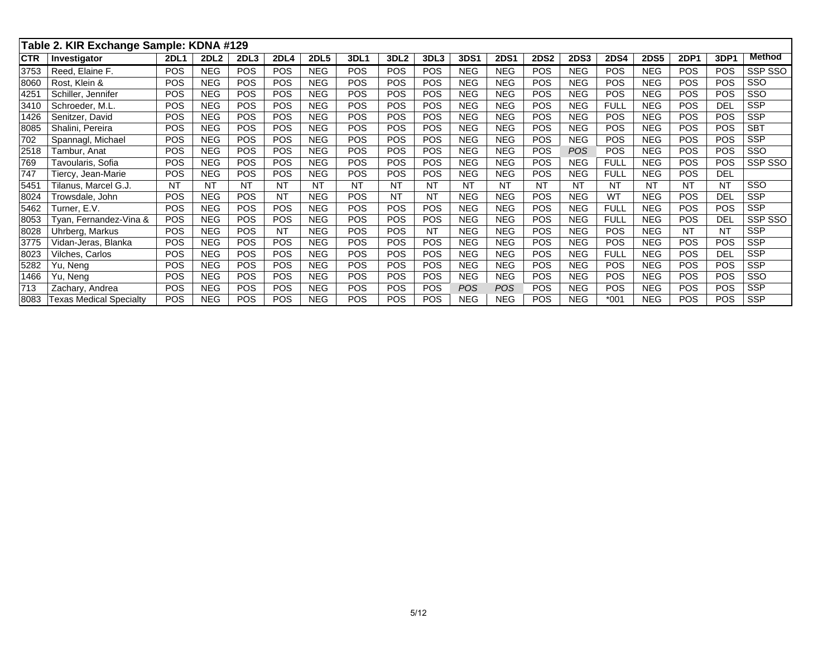|            | Table 2. KIR Exchange Sample: KDNA #129 |             |                  |                  |             |             |             |                  |                  |             |             |             |             |             |             |             |            |            |
|------------|-----------------------------------------|-------------|------------------|------------------|-------------|-------------|-------------|------------------|------------------|-------------|-------------|-------------|-------------|-------------|-------------|-------------|------------|------------|
| <b>CTR</b> | Investigator                            | <b>2DL1</b> | 2DL <sub>2</sub> | 2DL <sub>3</sub> | <b>2DL4</b> | <b>2DL5</b> | <b>3DL1</b> | 3DL <sub>2</sub> | 3DL <sub>3</sub> | <b>3DS1</b> | <b>2DS1</b> | <b>2DS2</b> | <b>2DS3</b> | <b>2DS4</b> | <b>2DS5</b> | <b>2DP1</b> | 3DP1       | Method     |
| 3753       | Reed, Elaine F.                         | <b>POS</b>  | <b>NEG</b>       | POS              | <b>POS</b>  | <b>NEG</b>  | POS         | <b>POS</b>       | <b>POS</b>       | <b>NEG</b>  | <b>NEG</b>  | <b>POS</b>  | <b>NEG</b>  | <b>POS</b>  | NEG         | <b>POS</b>  | POS        | SSP SSO    |
| 8060       | Rost. Klein &                           | POS         | <b>NEG</b>       | POS              | POS         | <b>NEG</b>  | POS         | <b>POS</b>       | POS              | <b>NEG</b>  | <b>NEG</b>  | <b>POS</b>  | <b>NEG</b>  | POS         | <b>NEG</b>  | <b>POS</b>  | POS        | SSO        |
| 4251       | Schiller, Jennifer                      | POS         | <b>NEG</b>       | POS              | POS         | <b>NEG</b>  | POS         | <b>POS</b>       | POS              | <b>NEG</b>  | <b>NEG</b>  | <b>POS</b>  | <b>NEG</b>  | POS         | <b>NEG</b>  | POS         | POS        | SSO        |
| 3410       | Schroeder, M.L.                         | POS         | <b>NEG</b>       | POS              | <b>POS</b>  | <b>NEG</b>  | POS         | <b>POS</b>       | <b>POS</b>       | <b>NEG</b>  | <b>NEG</b>  | <b>POS</b>  | <b>NEG</b>  | <b>FULL</b> | <b>NEG</b>  | <b>POS</b>  | DEI        | <b>SSP</b> |
| 1426       | Senitzer, David                         | POS         | <b>NEG</b>       | POS              | <b>POS</b>  | <b>NEG</b>  | POS         | <b>POS</b>       | <b>POS</b>       | <b>NEG</b>  | <b>NEG</b>  | <b>POS</b>  | <b>NEG</b>  | <b>POS</b>  | <b>NEG</b>  | POS         | POS        | <b>SSP</b> |
| 8085       | Shalini, Pereira                        | <b>POS</b>  | <b>NEG</b>       | POS              | <b>POS</b>  | <b>NEG</b>  | POS         | <b>POS</b>       | <b>POS</b>       | <b>NEG</b>  | <b>NEG</b>  | <b>POS</b>  | <b>NEG</b>  | <b>POS</b>  | <b>NEG</b>  | POS         | POS        | <b>SBT</b> |
| 702        | Spannagl, Michael                       | <b>POS</b>  | <b>NEG</b>       | POS              | <b>POS</b>  | <b>NEG</b>  | POS         | <b>POS</b>       | <b>POS</b>       | <b>NEG</b>  | <b>NEG</b>  | <b>POS</b>  | <b>NEG</b>  | <b>POS</b>  | <b>NEG</b>  | <b>POS</b>  | POS        | <b>SSP</b> |
| 2518       | Tambur, Anat                            | POS         | <b>NEG</b>       | POS              | <b>POS</b>  | <b>NEG</b>  | POS         | <b>POS</b>       | <b>POS</b>       | <b>NEG</b>  | <b>NEG</b>  | <b>POS</b>  | <b>POS</b>  | <b>POS</b>  | <b>NEG</b>  | <b>POS</b>  | POS        | SSO        |
| 769        | Tavoularis, Sofia                       | <b>POS</b>  | <b>NEG</b>       | POS              | POS         | <b>NEG</b>  | POS         | POS              | POS              | <b>NEG</b>  | <b>NEG</b>  | <b>POS</b>  | <b>NEG</b>  | <b>FULL</b> | <b>NEG</b>  | POS         | POS        | SSP SSO    |
| 747        | Tiercy, Jean-Marie                      | <b>POS</b>  | <b>NEG</b>       | POS              | POS         | <b>NEG</b>  | POS         | <b>POS</b>       | <b>POS</b>       | <b>NEG</b>  | <b>NEG</b>  | <b>POS</b>  | <b>NEG</b>  | <b>FULL</b> | <b>NEG</b>  | <b>POS</b>  | <b>DEL</b> |            |
| 5451       | Tilanus, Marcel G.J.                    | <b>NT</b>   | <b>NT</b>        | <b>NT</b>        | <b>NT</b>   | <b>NT</b>   | <b>NT</b>   | <b>NT</b>        | <b>NT</b>        | <b>NT</b>   | <b>NT</b>   | <b>NT</b>   | <b>NT</b>   | <b>NT</b>   | <b>NT</b>   | <b>NT</b>   | <b>NT</b>  | SSO        |
| 8024       | Trowsdale, John                         | <b>POS</b>  | <b>NEG</b>       | <b>POS</b>       | <b>NT</b>   | <b>NEG</b>  | <b>POS</b>  | <b>NT</b>        | <b>NT</b>        | <b>NEG</b>  | <b>NEG</b>  | <b>POS</b>  | <b>NEG</b>  | <b>WT</b>   | <b>NEG</b>  | <b>POS</b>  | DEL        | <b>SSP</b> |
| 5462       | Turner. E.V.                            | <b>POS</b>  | <b>NEG</b>       | POS              | <b>POS</b>  | <b>NEG</b>  | POS         | <b>POS</b>       | <b>POS</b>       | <b>NEG</b>  | <b>NEG</b>  | <b>POS</b>  | <b>NEG</b>  | <b>FULL</b> | <b>NEG</b>  | <b>POS</b>  | POS        | <b>SSP</b> |
| 8053       | Tyan, Fernandez-Vina &                  | POS         | <b>NEG</b>       | POS              | <b>POS</b>  | <b>NEG</b>  | POS         | <b>POS</b>       | POS              | <b>NEG</b>  | <b>NEG</b>  | POS         | <b>NEG</b>  | <b>FULL</b> | <b>NEG</b>  | <b>POS</b>  | <b>DEI</b> | SSP SSO    |
| 8028       | Uhrberg, Markus                         | <b>POS</b>  | <b>NEG</b>       | <b>POS</b>       | NT          | NEG.        | <b>POS</b>  | <b>POS</b>       | <b>NT</b>        | <b>NEG</b>  | <b>NEG</b>  | <b>POS</b>  | <b>NEG</b>  | <b>POS</b>  | <b>NEG</b>  | <b>NT</b>   | <b>NT</b>  | <b>SSP</b> |
| 3775       | Vidan-Jeras, Blanka                     | <b>POS</b>  | <b>NEG</b>       | POS              | <b>POS</b>  | <b>NEG</b>  | POS         | <b>POS</b>       | POS              | <b>NEG</b>  | <b>NEG</b>  | <b>POS</b>  | <b>NEG</b>  | POS         | <b>NEG</b>  | POS         | POS        | <b>SSP</b> |
| 8023       | Vilches, Carlos                         | <b>POS</b>  | <b>NEG</b>       | POS              | <b>POS</b>  | <b>NEG</b>  | <b>POS</b>  | <b>POS</b>       | <b>POS</b>       | <b>NEG</b>  | <b>NEG</b>  | <b>POS</b>  | <b>NEG</b>  | <b>FULL</b> | <b>NEG</b>  | <b>POS</b>  | DEL        | <b>SSP</b> |
| 5282       | Yu, Neng                                | POS         | <b>NEG</b>       | POS              | <b>POS</b>  | <b>NEG</b>  | POS         | <b>POS</b>       | <b>POS</b>       | <b>NEG</b>  | <b>NEG</b>  | <b>POS</b>  | <b>NEG</b>  | <b>POS</b>  | <b>NEG</b>  | <b>POS</b>  | POS        | <b>SSP</b> |
| 1466       | Yu, Neng                                | POS         | <b>NEG</b>       | POS              | <b>POS</b>  | <b>NEG</b>  | POS         | <b>POS</b>       | POS              | <b>NEG</b>  | <b>NEG</b>  | <b>POS</b>  | <b>NEG</b>  | <b>POS</b>  | <b>NEG</b>  | POS         | POS        | SSO        |
| 713        | Zachary, Andrea                         | <b>POS</b>  | <b>NEG</b>       | POS              | <b>POS</b>  | <b>NEG</b>  | <b>POS</b>  | <b>POS</b>       | POS              | <b>POS</b>  | POS         | <b>POS</b>  | <b>NEG</b>  | <b>POS</b>  | <b>NEG</b>  | <b>POS</b>  | POS        | <b>SSP</b> |
| 8083       | <b>Texas Medical Specialty</b>          | <b>POS</b>  | <b>NEG</b>       | POS              | <b>POS</b>  | <b>NEG</b>  | POS         | <b>POS</b>       | <b>POS</b>       | <b>NEG</b>  | <b>NEG</b>  | <b>POS</b>  | <b>NEG</b>  | $*001$      | <b>NEG</b>  | <b>POS</b>  | POS        | <b>SSP</b> |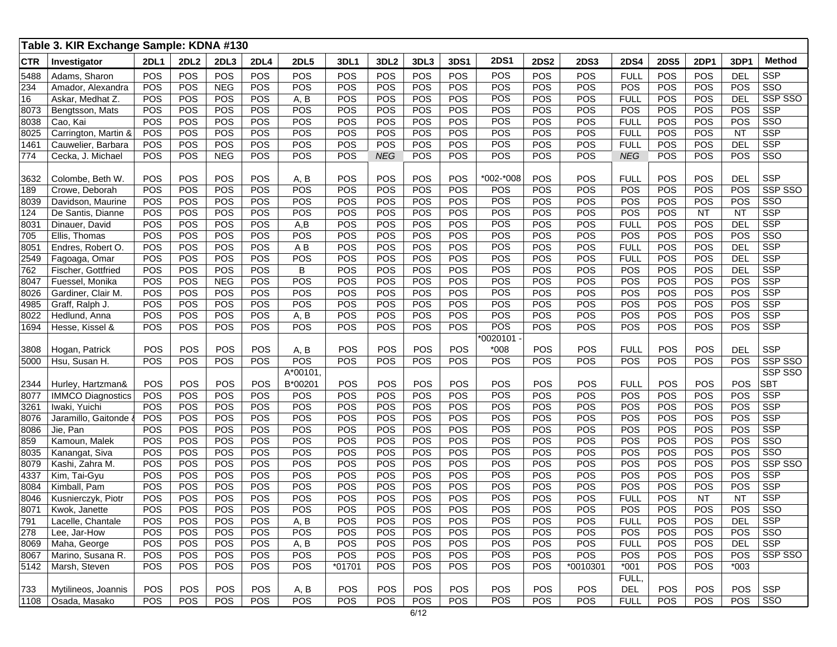|            | Table 3. KIR Exchange Sample: KDNA #130 |      |             |            |             |                |            |                  |            |             |             |             |             |             |             |             |            |               |
|------------|-----------------------------------------|------|-------------|------------|-------------|----------------|------------|------------------|------------|-------------|-------------|-------------|-------------|-------------|-------------|-------------|------------|---------------|
| <b>CTR</b> | Investigator                            | 2DL1 | <b>2DL2</b> | 2DL3       | <b>2DL4</b> | <b>2DL5</b>    | 3DL1       | 3DL <sub>2</sub> | 3DL3       | <b>3DS1</b> | <b>2DS1</b> | <b>2DS2</b> | <b>2DS3</b> | <b>2DS4</b> | <b>2DS5</b> | <b>2DP1</b> | 3DP1       | <b>Method</b> |
| 5488       | Adams, Sharon                           | POS  | POS         | POS        | POS         | POS            | POS        | POS              | POS        | POS         | POS         | POS         | POS         | <b>FULL</b> | POS         | POS         | <b>DEL</b> | <b>SSP</b>    |
| 234        | Amador, Alexandra                       | POS  | POS         | <b>NEG</b> | <b>POS</b>  | <b>POS</b>     | POS        | POS              | POS        | <b>POS</b>  | POS         | POS         | POS         | POS         | POS         | <b>POS</b>  | <b>POS</b> | SSO           |
| 16         | Askar, Medhat Z.                        | POS  | POS         | POS        | POS         | A, B           | <b>POS</b> | POS              | POS        | <b>POS</b>  | POS         | POS         | POS         | <b>FULL</b> | POS         | POS         | DEL        | SSP SSO       |
| 8073       | Bengtsson, Mats                         | POS  | POS         | POS        | POS         | POS            | POS        | POS              | POS        | POS         | POS         | POS         | POS         | POS         | POS         | POS         | POS        | <b>SSP</b>    |
| 8038       | Cao, Kai                                | POS  | POS         | POS        | POS         | POS            | POS        | POS              | POS        | POS         | POS         | POS         | POS         | <b>FULL</b> | POS         | POS         | POS        | SSO           |
| 8025       | Carrington, Martin &                    | POS  | POS         | POS        | POS         | <b>POS</b>     | POS        | <b>POS</b>       | POS        | <b>POS</b>  | POS         | POS         | POS         | <b>FULL</b> | POS         | POS         | <b>NT</b>  | <b>SSP</b>    |
| 1461       | Cauwelier, Barbara                      | POS  | POS         | POS        | POS         | <b>POS</b>     | POS        | <b>POS</b>       | POS        | POS         | POS         | POS         | POS         | <b>FULL</b> | POS         | POS         | DEL        | <b>SSP</b>    |
| 774        | Cecka, J. Michael                       | POS  | POS         | <b>NEG</b> | POS         | POS            | POS        | <b>NEG</b>       | POS        | POS         | POS         | POS         | POS         | <b>NEG</b>  | POS         | POS         | POS        | SSO           |
|            |                                         |      |             |            |             |                |            |                  |            |             |             |             |             |             |             |             |            |               |
| 3632       | Colombe, Beth W                         | POS  | POS         | POS        | POS         | A, B           | POS        | POS              | POS        | POS         | *002-*008   | POS         | POS         | <b>FULL</b> | POS         | POS         | <b>DEL</b> | <b>SSP</b>    |
| 189        | Crowe, Deborah                          | POS  | POS         | POS        | POS         | POS            | POS        | <b>POS</b>       | POS        | POS         | POS         | POS         | POS         | POS         | POS         | POS         | POS        | SSP SSO       |
| 8039       | Davidson, Maurine                       | POS  | POS         | POS        | POS         | POS            | POS        | POS              | POS        | POS         | POS         | POS         | POS         | POS         | POS         | POS         | <b>POS</b> | <b>SSO</b>    |
| 124        | De Santis, Dianne                       | POS  | POS         | POS        | POS         | POS            | POS        | POS              | POS        | POS         | POS         | POS         | POS         | POS         | POS         | <b>NT</b>   | <b>NT</b>  | <b>SSP</b>    |
| 8031       | Dinauer, David                          | POS  | POS         | POS        | POS         | A,B            | POS        | POS              | POS        | POS         | POS         | POS         | POS         | <b>FULL</b> | POS         | POS         | <b>DEL</b> | <b>SSP</b>    |
| 705        | Ellis, Thomas                           | POS  | POS         | POS        | POS         | POS            | POS        | POS              | POS        | POS         | POS         | POS         | POS         | POS         | POS         | POS         | POS        | SSO           |
| 8051       | Endres, Robert O.                       | POS  | POS         | POS        | POS         | A <sub>B</sub> | POS        | POS              | POS        | <b>POS</b>  | POS         | POS         | POS         | <b>FULL</b> | POS         | POS         | <b>DEL</b> | <b>SSP</b>    |
| 2549       | Fagoaga, Omar                           | POS  | POS         | POS        | POS         | <b>POS</b>     | POS        | <b>POS</b>       | POS        | <b>POS</b>  | POS         | POS         | POS         | <b>FULL</b> | POS         | POS         | DEL        | <b>SSP</b>    |
| 762        | Fischer, Gottfried                      | POS  | POS         | POS        | POS         | B              | POS        | POS              | POS        | POS         | POS         | POS         | POS         | POS         | POS         | POS         | <b>DEL</b> | <b>SSP</b>    |
| 8047       | Fuessel, Monika                         | POS  | POS         | <b>NEG</b> | POS         | POS            | POS        | POS              | POS        | POS         | POS         | POS         | POS         | POS         | POS         | POS         | POS        | <b>SSP</b>    |
| 8026       | Gardiner, Clair M.                      | POS  | POS         | POS        | POS         | POS            | POS        | POS              | POS        | POS         | POS         | POS         | POS         | POS         | POS         | POS         | POS        | <b>SSP</b>    |
| 4985       | Graff, Ralph J.                         | POS  | POS         | POS        | POS         | POS            | POS        | POS              | POS        | POS         | POS         | POS         | POS         | POS         | POS         | POS         | <b>POS</b> | <b>SSP</b>    |
| 8022       | Hedlund, Anna                           | POS  | POS         | POS        | POS         | A, B           | POS        | <b>POS</b>       | POS        | <b>POS</b>  | POS         | POS         | POS         | POS         | POS         | POS         | <b>POS</b> | <b>SSP</b>    |
| 1694       | Hesse, Kissel &                         | POS  | POS         | <b>POS</b> | POS         | <b>POS</b>     | <b>POS</b> | POS              | POS        | POS         | POS         | POS         | POS         | POS         | POS         | POS         | <b>POS</b> | <b>SSP</b>    |
|            |                                         |      |             |            |             |                |            |                  |            |             | *0020101    |             |             |             |             |             |            |               |
| 3808       | Hogan, Patrick                          | POS  | POS         | POS        | POS         | A, B           | POS        | POS              | <b>POS</b> | POS         | *008        | POS         | POS         | <b>FULL</b> | POS         | POS         | <b>DEL</b> | <b>SSP</b>    |
| 5000       | Hsu, Susan H.                           | POS  | POS         | <b>POS</b> | POS         | POS            | POS        | POS              | POS        | <b>POS</b>  | POS         | POS         | POS         | POS         | POS         | POS         | <b>POS</b> | SSP SSO       |
|            |                                         |      |             |            |             | A*00101,       |            |                  |            |             |             |             |             |             |             |             |            | SSP SSO       |
| 2344       | Hurley, Hartzman&                       | POS  | POS         | POS        | POS         | B*00201        | POS        | POS              | <b>POS</b> | POS         | POS         | POS         | POS         | <b>FULL</b> | POS         | POS         | POS        | <b>SBT</b>    |
| 8077       | <b>IMMCO Diagnostics</b>                | POS  | POS         | POS        | POS         | POS            | POS        | POS              | POS        | POS         | POS         | POS         | POS         | POS         | POS         | POS         | POS        | <b>SSP</b>    |
| 3261       | Iwaki, Yuichi                           | POS  | POS         | POS        | POS         | POS            | POS        | POS              | POS        | POS         | POS         | POS         | POS         | POS         | POS         | POS         | POS        | <b>SSP</b>    |
| 8076       | Jaramillo, Gaitonde                     | POS  | POS         | POS        | POS         | <b>POS</b>     | POS        | <b>POS</b>       | POS        | <b>POS</b>  | POS         | POS         | POS         | POS         | POS         | POS         | <b>POS</b> | <b>SSP</b>    |
| 8086       | Jie, Pan                                | POS  | POS         | POS        | POS         | POS            | POS        | <b>POS</b>       | POS        | <b>POS</b>  | POS         | POS         | POS         | POS         | POS         | POS         | <b>POS</b> | <b>SSP</b>    |
| 859        | Kamoun, Malek                           | POS  | POS         | <b>POS</b> | <b>POS</b>  | POS            | <b>POS</b> | <b>POS</b>       | POS        | <b>POS</b>  | POS         | POS         | POS         | POS         | <b>POS</b>  | POS         | <b>POS</b> | SSO           |
| 8035       | Kanangat, Siva                          | POS  | POS         | POS        | POS         | POS            | POS        | POS              | POS        | POS         | POS         | POS         | POS         | POS         | POS         | POS         | POS        | SSO           |
| 8079       | Kashi, Zahra M.                         | POS  | POS         | POS        | POS         | POS            | POS        | POS              | POS        | POS         | POS         | POS         | POS         | POS         | POS         | POS         | POS        | SSP SSO       |
| 4337       | Kim, Tai-Gyu                            | POS  | POS         | POS        | POS         | <b>POS</b>     | POS        | <b>POS</b>       | POS        | <b>POS</b>  | POS         | POS         | POS         | POS         | POS         | POS         | <b>POS</b> | <b>SSP</b>    |
| 8084       | Kimball, Pam                            | POS  | POS         | POS        | POS         | POS            | POS        | <b>POS</b>       | POS        | <b>POS</b>  | POS         | POS         | POS         | POS         | POS         | POS         | <b>POS</b> | <b>SSP</b>    |
| 8046       | Kusnierczyk, Piotr                      | POS  | POS         | <b>POS</b> | <b>POS</b>  | <b>POS</b>     | <b>POS</b> | <b>POS</b>       | POS        | <b>POS</b>  | POS         | POS         | POS         | <b>FULL</b> | <b>POS</b>  | <b>NT</b>   | <b>NT</b>  | <b>SSP</b>    |
| 8071       | Kwok, Janette                           | POS  | POS         | POS        | POS         | POS            | POS        | POS              | POS        | POS         | POS         | POS         | POS         | POS         | POS         | POS         | POS        | SSO           |
| 791        | Lacelle, Chantale                       | POS  | POS         | POS        | POS         | A, B           | POS        | POS              | POS        | POS         | POS         | POS         | POS         | <b>FULL</b> | POS         | POS         | <b>DEL</b> | <b>SSP</b>    |
| 278        | Lee, Jar-How                            | POS  | POS         | POS        | POS         | POS            | POS        | POS              | POS        | POS         | POS         | POS         | POS         | POS         | POS         | POS         | <b>POS</b> | SSO           |
| 8069       | Maha, George                            | POS  | POS         | POS        | POS         | A, B           | POS        | POS              | <b>POS</b> | POS         | POS         | POS         | POS         | <b>FULL</b> | POS         | POS         | <b>DEL</b> | <b>SSP</b>    |
| 8067       | Marino, Susana R.                       | POS  | POS         | POS        | POS         | <b>POS</b>     | POS        | POS              | POS        | POS         | POS         | POS         | POS         | POS         | POS         | POS         | <b>POS</b> | SSP SSO       |
| 5142       | Marsh, Steven                           | POS  | POS         | POS        | POS         | POS            | $*01701$   | POS              | POS        | POS         | POS         | POS         | *0010301    | $*001$      | POS         | POS         | $*003$     |               |
|            |                                         |      |             |            |             |                |            |                  |            |             |             |             |             | FULL,       |             |             |            |               |
| 733        | Mytilineos, Joannis                     | POS  | POS         | POS        | POS         | A, B           | POS        | POS              | POS        | POS         | POS         | POS         | POS         | DEL         | POS         | POS         | POS        | <b>SSP</b>    |
|            | 1108   Osada, Masako                    | POS  | POS         | <b>POS</b> | <b>POS</b>  | <b>POS</b>     | POS        | <b>POS</b>       | POS        | POS         | POS         | POS         | POS         | <b>FULL</b> | POS         | <b>POS</b>  | <b>POS</b> | SSO           |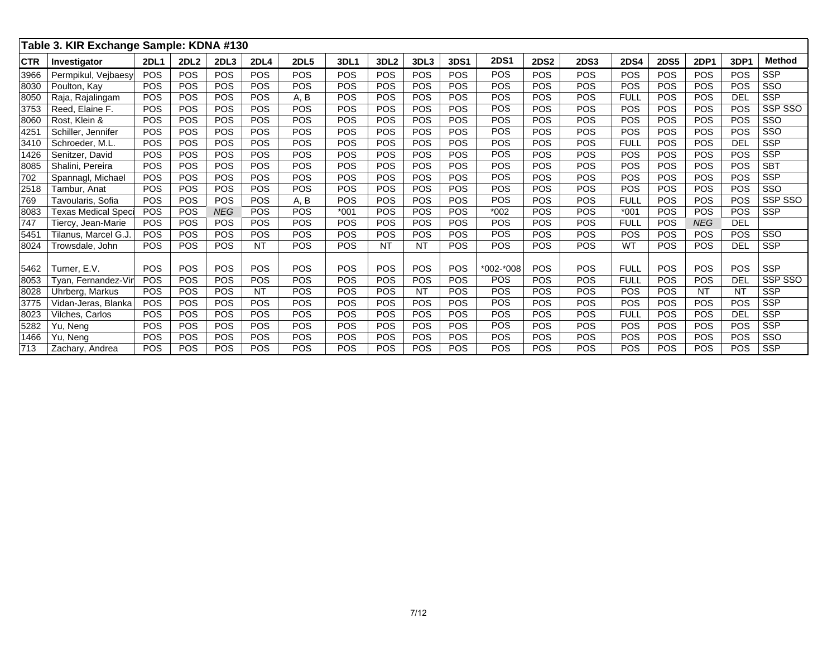|             | Table 3. KIR Exchange Sample: KDNA #130 |             |                  |                  |             |             |            |                  |            |             |             |             |             |             |             |             |            |               |
|-------------|-----------------------------------------|-------------|------------------|------------------|-------------|-------------|------------|------------------|------------|-------------|-------------|-------------|-------------|-------------|-------------|-------------|------------|---------------|
| <b>ICTR</b> | Investigator                            | <b>2DL1</b> | 2DL <sub>2</sub> | 2DL <sub>3</sub> | <b>2DL4</b> | <b>2DL5</b> | 3DL1       | 3DL <sub>2</sub> | 3DL3       | <b>3DS1</b> | <b>2DS1</b> | <b>2DS2</b> | <b>2DS3</b> | <b>2DS4</b> | <b>2DS5</b> | <b>2DP1</b> | 3DP1       | <b>Method</b> |
| 3966        | Permpikul, Vejbaesy                     | <b>POS</b>  | POS              | <b>POS</b>       | POS         | <b>POS</b>  | POS        | POS              | <b>POS</b> | POS         | POS         | <b>POS</b>  | <b>POS</b>  | <b>POS</b>  | POS         | POS         | <b>POS</b> | <b>SSP</b>    |
| 8030        | Poulton, Kay                            | POS         | POS              | POS              | POS         | <b>POS</b>  | POS        | <b>POS</b>       | POS        | POS         | POS         | POS         | POS         | POS         | POS         | POS         | <b>POS</b> | SSO           |
| 8050        | Raja, Rajalingam                        | POS         | POS              | POS              | <b>POS</b>  | A, B        | <b>POS</b> | <b>POS</b>       | POS        | POS         | POS         | POS         | POS         | <b>FULL</b> | <b>POS</b>  | POS         | <b>DEL</b> | <b>SSP</b>    |
| 3753        | Reed, Elaine F.                         | <b>POS</b>  | POS              | <b>POS</b>       | POS         | <b>POS</b>  | POS        | <b>POS</b>       | <b>POS</b> | POS         | POS         | POS         | POS         | <b>POS</b>  | POS         | POS         | <b>POS</b> | SSP SSO       |
| 8060        | Rost. Klein &                           | POS         | POS              | POS              | <b>POS</b>  | POS         | POS        | <b>POS</b>       | POS        | POS         | POS         | POS         | POS         | POS         | POS         | POS         | <b>POS</b> | SSO           |
| 425'        | Schiller, Jennifer                      | POS         | POS              | <b>POS</b>       | <b>POS</b>  | <b>POS</b>  | <b>POS</b> | POS              | <b>POS</b> | POS         | POS         | POS         | <b>POS</b>  | <b>POS</b>  | <b>POS</b>  | POS         | <b>POS</b> | SSO           |
| 3410        | Schroeder, M.L.                         | POS         | POS              | POS              | POS         | <b>POS</b>  | POS        | POS              | POS        | POS         | POS         | <b>POS</b>  | POS         | <b>FULL</b> | POS         | POS         | <b>DEL</b> | <b>SSP</b>    |
| 1426        | Senitzer, David                         | POS         | POS              | POS              | POS         | POS         | <b>POS</b> | <b>POS</b>       | POS        | POS         | POS         | POS         | POS         | POS         | POS         | POS         | <b>POS</b> | <b>SSP</b>    |
| 8085        | Shalini, Pereira                        | POS         | POS              | <b>POS</b>       | <b>POS</b>  | <b>POS</b>  | <b>POS</b> | POS              | POS        | POS         | POS         | POS         | POS         | <b>POS</b>  | <b>POS</b>  | POS         | <b>POS</b> | <b>SBT</b>    |
| 702         | Spannagl, Michael                       | POS         | POS              | POS              | POS         | <b>POS</b>  | POS        | POS              | <b>POS</b> | POS         | POS         | POS         | POS         | <b>POS</b>  | POS         | POS         | <b>POS</b> | <b>SSP</b>    |
| 2518        | Tambur. Anat                            | POS         | POS              | POS              | <b>POS</b>  | POS         | <b>POS</b> | <b>POS</b>       | POS        | POS         | POS         | <b>POS</b>  | POS         | POS         | POS         | POS         | <b>POS</b> | SSO           |
| 769         | Tavoularis, Sofia                       | <b>POS</b>  | <b>POS</b>       | <b>POS</b>       | <b>POS</b>  | A, B        | <b>POS</b> | POS              | POS        | POS         | POS         | POS         | <b>POS</b>  | <b>FULL</b> | <b>POS</b>  | <b>POS</b>  | POS        | SSP SSO       |
| 8083        | <b>Texas Medical Speci</b>              | <b>POS</b>  | POS              | <b>NEG</b>       | POS         | <b>POS</b>  | $*001$     | <b>POS</b>       | <b>POS</b> | POS         | $*002$      | <b>POS</b>  | POS         | $*001$      | POS         | POS         | <b>POS</b> | <b>SSP</b>    |
| 747         | Tiercy, Jean-Marie                      | POS         | POS              | POS              | POS         | POS         | <b>POS</b> | <b>POS</b>       | POS        | POS         | POS         | POS         | POS         | <b>FULL</b> | <b>POS</b>  | <b>NEG</b>  | DEL        |               |
| 545'        | Tilanus, Marcel G.J.                    | POS         | POS              | <b>POS</b>       | <b>POS</b>  | <b>POS</b>  | POS        | POS              | POS        | POS         | POS         | POS         | POS         | <b>POS</b>  | <b>POS</b>  | POS         | <b>POS</b> | SSO           |
| 8024        | Trowsdale, John                         | POS         | POS              | <b>POS</b>       | <b>NT</b>   | <b>POS</b>  | POS        | <b>NT</b>        | NT         | POS         | POS         | <b>POS</b>  | <b>POS</b>  | WT          | <b>POS</b>  | <b>POS</b>  | <b>DEL</b> | <b>SSP</b>    |
|             |                                         |             |                  |                  |             |             |            |                  |            |             |             |             |             |             |             |             |            |               |
| 5462        | Turner. E.V.                            | POS         | <b>POS</b>       | <b>POS</b>       | <b>POS</b>  | <b>POS</b>  | <b>POS</b> | <b>POS</b>       | POS        | POS         | *002-*008   | POS         | <b>POS</b>  | <b>FULL</b> | <b>POS</b>  | POS         | <b>POS</b> | <b>SSP</b>    |
| 8053        | Tyan, Fernandez-Vir                     | POS         | POS              | POS              | <b>POS</b>  | <b>POS</b>  | POS        | <b>POS</b>       | POS        | POS         | POS         | <b>POS</b>  | POS         | <b>FULL</b> | POS         | POS         | <b>DEL</b> | SSP SSO       |
| 8028        | Uhrberg, Markus                         | POS         | POS              | POS              | <b>NT</b>   | POS         | <b>POS</b> | <b>POS</b>       | <b>NT</b>  | POS         | POS         | POS         | POS         | POS         | POS         | <b>NT</b>   | <b>NT</b>  | <b>SSP</b>    |
| 3775        | Vidan-Jeras, Blanka                     | POS         | POS              | <b>POS</b>       | <b>POS</b>  | <b>POS</b>  | POS        | POS              | POS        | POS         | POS         | POS         | POS         | <b>POS</b>  | <b>POS</b>  | POS         | <b>POS</b> | <b>SSP</b>    |
| 8023        | Vilches, Carlos                         | <b>POS</b>  | POS              | <b>POS</b>       | <b>POS</b>  | <b>POS</b>  | <b>POS</b> | <b>POS</b>       | POS        | POS         | POS         | POS         | POS         | <b>FULL</b> | POS         | POS         | <b>DEL</b> | <b>SSP</b>    |
| 5282        | Yu, Neng                                | POS         | POS              | POS              | <b>POS</b>  | POS         | <b>POS</b> | <b>POS</b>       | POS        | POS         | POS         | POS         | POS         | POS         | POS         | POS         | <b>POS</b> | <b>SSP</b>    |
| 1466        | Yu, Neng                                | POS         | POS              | POS              | <b>POS</b>  | POS         | POS        | <b>POS</b>       | POS        | POS         | <b>POS</b>  | POS         | POS         | POS         | <b>POS</b>  | POS         | POS        | SSO           |
| 713         | Zachary, Andrea                         | POS         | POS              | POS              | POS         | POS         | POS        | <b>POS</b>       | POS        | POS         | POS         | POS         | POS         | <b>POS</b>  | POS         | POS         | <b>POS</b> | <b>SSP</b>    |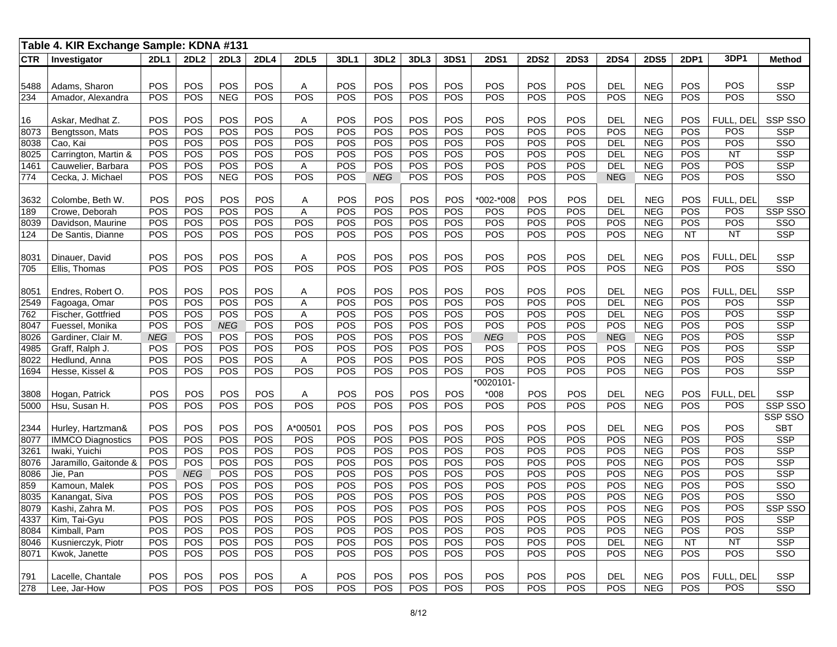|              | Table 4. KIR Exchange Sample: KDNA #131 |             |                   |            |             |                   |             |                   |            |            |             |                   |             |                   |                          |            |            |                          |
|--------------|-----------------------------------------|-------------|-------------------|------------|-------------|-------------------|-------------|-------------------|------------|------------|-------------|-------------------|-------------|-------------------|--------------------------|------------|------------|--------------------------|
| <b>CTR</b>   | Investigator                            | <b>2DL1</b> | <b>2DL2</b>       | 2DL3       | <b>2DL4</b> | <b>2DL5</b>       | <b>3DL1</b> | 3DL <sub>2</sub>  | 3DL3       | 3DS1       | <b>2DS1</b> | <b>2DS2</b>       | <b>2DS3</b> | <b>2DS4</b>       | <b>2DS5</b>              | 2DP1       | 3DP1       | <b>Method</b>            |
|              |                                         |             |                   |            |             |                   |             |                   |            |            |             |                   |             |                   |                          |            |            |                          |
| 5488         | Adams, Sharon                           | POS         | POS               | POS        | POS         | Α                 | POS         | POS               | POS        | <b>POS</b> | POS         | <b>POS</b>        | POS         | <b>DEL</b>        | <b>NEG</b>               | POS        | POS        | <b>SSP</b>               |
| 234          | Amador, Alexandra                       | POS         | POS               | <b>NEG</b> | POS         | <b>POS</b>        | POS         | <b>POS</b>        | POS        | POS        | POS         | POS               | POS         | POS               | <b>NEG</b>               | POS        | <b>POS</b> | SSO                      |
|              |                                         |             |                   |            |             |                   |             |                   |            |            |             |                   |             |                   |                          |            |            |                          |
| 16           | Askar, Medhat Z.                        | POS         | POS               | POS        | POS         | A                 | POS         | POS               | POS        | POS        | POS         | POS               | POS         | <b>DEL</b>        | <b>NEG</b>               | POS        | FULL, DEL  | SSP SSO                  |
| 8073         | Bengtsson, Mats                         | POS         | POS               | POS        | POS         | POS               | POS         | POS               | POS        | POS        | POS         | POS               | POS         | POS               | <b>NEG</b>               | POS        | POS        | <b>SSP</b>               |
| 8038         | Cao, Kai                                | POS         | POS               | POS        | POS         | POS               | POS         | POS               | POS        | POS        | POS         | POS               | POS         | <b>DEL</b>        | <b>NEG</b>               | POS        | POS        | SSO                      |
| 8025         | Carrington, Martin &                    | POS         | POS               | POS        | POS         | POS               | POS         | POS               | POS        | POS        | POS         | POS               | POS         | DEL               | <b>NEG</b>               | POS        | NT         | <b>SSP</b>               |
| 1461         | Cauwelier, Barbara                      | POS         | POS               | POS        | POS         | Α                 | POS         | <b>POS</b>        | POS        | POS        | POS         | <b>POS</b>        | <b>POS</b>  | DEL               | <b>NEG</b>               | <b>POS</b> | POS        | <b>SSP</b>               |
| 774          | Cecka, J. Michael                       | POS         | POS               | <b>NEG</b> | <b>POS</b>  | <b>POS</b>        | POS         | <b>NEG</b>        | POS        | <b>POS</b> | POS         | <b>POS</b>        | <b>POS</b>  | <b>NEG</b>        | <b>NEG</b>               | <b>POS</b> | POS        | SSO <sub></sub>          |
|              |                                         |             |                   |            |             |                   |             |                   |            |            |             |                   |             |                   |                          |            |            |                          |
| 3632         | Colombe, Beth W.                        | POS         | POS               | POS        | POS         | Α                 | POS         | POS               | POS        | POS        | *002-*008   | POS               | POS         | <b>DEL</b>        | <b>NEG</b>               | POS        | FULL, DEL  | <b>SSP</b>               |
| 189          | Crowe, Deborah                          | POS         | POS               | POS        | POS         | Α                 | POS         | <b>POS</b>        | POS        | POS        | POS         | POS               | <b>POS</b>  | DEL               | <b>NEG</b>               | POS        | POS        | SSP SSO                  |
| 8039         | Davidson, Maurine                       | POS         | POS               | POS        | POS         | POS               | POS         | <b>POS</b>        | POS        | POS        | POS         | <b>POS</b>        | <b>POS</b>  | POS               | <b>NEG</b>               | POS        | POS        | SSO <sub></sub>          |
| 124          | De Santis, Dianne                       | POS         | POS               | POS        | <b>POS</b>  | POS               | POS         | POS               | POS        | POS        | POS         | <b>POS</b>        | POS         | POS               | <b>NEG</b>               | <b>NT</b>  | <b>NT</b>  | <b>SSP</b>               |
|              |                                         |             |                   |            |             |                   |             |                   |            |            |             |                   |             |                   |                          |            |            |                          |
| 8031         | Dinauer, David                          | POS         | POS               | POS        | POS         | Α                 | POS         | POS               | POS        | POS        | POS         | POS               | POS         | <b>DEL</b>        | <b>NEG</b>               | POS        | FULL, DEL  | <b>SSP</b>               |
| 705          | Ellis, Thomas                           | POS         | POS               | POS        | POS         | POS               | POS         | <b>POS</b>        | POS        | POS        | POS         | POS               | <b>POS</b>  | POS               | <b>NEG</b>               | POS        | POS        | SSO                      |
|              |                                         |             |                   |            |             |                   |             |                   |            |            |             |                   |             |                   |                          |            |            |                          |
| 8051         | Endres, Robert O.                       | POS         | POS               | POS        | POS         | Α                 | POS         | POS               | POS        | POS        | POS         | POS               | POS         | <b>DEL</b>        | <b>NEG</b>               | POS        | FULL, DEL  | <b>SSP</b>               |
| 2549         | Fagoaga, Omar                           | POS         | POS               | POS        | POS         | Α                 | POS         | POS               | POS        | POS        | POS         | POS               | POS         | <b>DEL</b>        | <b>NEG</b>               | POS        | POS        | <b>SSP</b>               |
| 762          | Fischer, Gottfried                      | POS         | POS               | POS        | POS         | Α                 | POS         | POS               | POS        | POS        | POS         | POS               | POS         | <b>DEL</b>        | <b>NEG</b>               | POS        | POS        | <b>SSP</b>               |
| 8047         | Fuessel, Monika                         | POS         | POS               | <b>NEG</b> | POS         | POS               | POS         | POS               | POS        | POS        | POS         | POS               | POS         | POS               | <b>NEG</b>               | POS        | POS        | <b>SSP</b>               |
| 8026         | Gardiner, Clair M.                      | <b>NEG</b>  | POS               | POS        | <b>POS</b>  | POS               | POS         | <b>POS</b>        | POS        | POS        | <b>NEG</b>  | POS               | POS         | <b>NEG</b>        | <b>NEG</b>               | POS        | POS        | <b>SSP</b>               |
| 4985         | Graff, Ralph J.                         | POS         | POS               | POS        | <b>POS</b>  | <b>POS</b>        | POS         | <b>POS</b>        | POS        | <b>POS</b> | POS         | <b>POS</b>        | POS         | POS               | <b>NEG</b>               | <b>POS</b> | POS        | <b>SSP</b>               |
| 8022         | Hedlund, Anna                           | POS         | POS               | POS        | POS         | Α                 | POS         | POS               | POS        | POS        | POS         | POS               | POS         | POS               | <b>NEG</b>               | POS        | POS        | <b>SSP</b>               |
| 1694         | Hesse, Kissel &                         | POS         | POS               | POS        | POS         | POS               | POS         | POS               | POS        | POS        | POS         | POS               | POS         | POS               | <b>NEG</b>               | POS        | POS        | <b>SSP</b>               |
|              |                                         |             |                   |            |             |                   |             |                   |            |            | *0020101-   |                   |             |                   |                          |            |            |                          |
| 3808         | Hogan, Patrick                          | POS         | POS               | POS        | POS         | A                 | POS         | POS               | POS        | POS        | $*008$      | POS               | POS         | <b>DEL</b>        | <b>NEG</b>               | POS        | FULL, DEL  | <b>SSP</b>               |
| 5000         | Hsu, Susan H.                           | POS         | <b>POS</b>        | POS        | <b>POS</b>  | <b>POS</b>        | POS         | <b>POS</b>        | POS        | <b>POS</b> | POS         | <b>POS</b>        | POS         | POS               | <b>NEG</b>               | POS        | POS        | SSP SSO                  |
|              |                                         |             |                   |            |             |                   |             |                   |            |            |             |                   |             |                   |                          |            |            | SSP SSO                  |
| 2344         | Hurley, Hartzman&                       | POS         | POS               | POS        | POS         | A*00501           | POS         | POS               | POS        | POS        | <b>POS</b>  | POS               | POS         | <b>DEL</b>        | <b>NEG</b>               | POS        | POS        | <b>SBT</b>               |
| 8077         | <b>IMMCO Diagnostics</b>                | POS         | POS               | POS        | POS         | POS               | POS         | POS               | POS        | POS        | POS         | POS               | POS         | POS               | <b>NEG</b>               | POS<br>POS | POS<br>POS | <b>SSP</b><br><b>SSP</b> |
| 3261         | Iwaki, Yuichi                           | POS         | POS<br><b>POS</b> | POS        | POS         | POS               | POS<br>POS  | POS               | POS        | POS        | POS<br>POS  | POS               | POS         | POS               | <b>NEG</b>               |            | <b>POS</b> |                          |
| 8076         | Jaramillo, Gaitonde &                   | POS         |                   | POS        | POS<br>POS  | POS               | POS         | POS               | POS        | POS<br>POS | POS         | POS<br>POS        | POS<br>POS  | POS<br>POS        | <b>NEG</b>               | POS<br>POS | <b>POS</b> | <b>SSP</b><br><b>SSP</b> |
| 8086         | Jie, Pan                                | POS         | <b>NEG</b>        | POS        | POS         | POS               | POS         | POS               | POS        |            |             |                   |             |                   | <b>NEG</b><br><b>NEG</b> | POS        | POS        |                          |
| 859<br>8035  | Kamoun, Malek                           | POS<br>POS  | POS<br>POS        | POS<br>POS | POS         | POS<br><b>POS</b> | POS         | POS<br><b>POS</b> | POS<br>POS | POS<br>POS | POS<br>POS  | POS<br><b>POS</b> | POS<br>POS  | POS<br>POS        | <b>NEG</b>               | POS        | POS        | SSO<br>SSO               |
|              | Kanangat, Siva                          | <b>POS</b>  | <b>POS</b>        | POS        | POS         | <b>POS</b>        | POS         |                   | POS        |            |             |                   | POS         | POS               |                          |            | POS        |                          |
| 8079<br>4337 | Kashi, Zahra M.                         |             |                   |            |             |                   |             | POS               |            | POS        | POS         | POS               |             |                   | <b>NEG</b>               | POS        | <b>POS</b> | SSP SSO<br><b>SSP</b>    |
|              | Kim, Tai-Gyu                            | POS         | POS               | POS        | POS         | POS               | POS         | POS               | POS        | POS        | POS         | POS               | POS         | POS               | <b>NEG</b>               | POS        | POS        | <b>SSP</b>               |
| 8084         | Kimball, Pam                            | POS         | POS               | POS        | POS         | POS               | POS         | POS               | POS        | POS        | POS         | POS               | POS         | POS               | <b>NEG</b>               | POS        |            |                          |
| 8046<br>8071 | Kusnierczyk, Piotr                      | POS<br>POS  | POS<br>POS        | POS        | POS<br>POS  | POS<br>POS        | POS<br>POS  | POS<br>POS        | POS        | POS<br>POS | POS<br>POS  | POS               | POS<br>POS  | <b>DEL</b><br>POS | <b>NEG</b>               | NT<br>POS  | NT<br>POS  | <b>SSP</b><br>SSO        |
|              | Kwok, Janette                           |             |                   | POS        |             |                   |             |                   | POS        |            |             | POS               |             |                   | <b>NEG</b>               |            |            |                          |
| 791          | Lacelle, Chantale                       | POS         | POS               | POS        | POS         |                   | POS         | POS               | POS        | POS        | POS         | POS               | POS         | DEL               | <b>NEG</b>               | POS        | FULL, DEL  | <b>SSP</b>               |
| 278          | Lee, Jar-How                            | POS         | POS               | POS        | POS         | A<br>POS          | POS         | POS               | POS        | POS        | POS         | POS               | POS         | POS               | <b>NEG</b>               | POS        | <b>POS</b> | SSO                      |
|              |                                         |             |                   |            |             |                   |             |                   |            |            |             |                   |             |                   |                          |            |            |                          |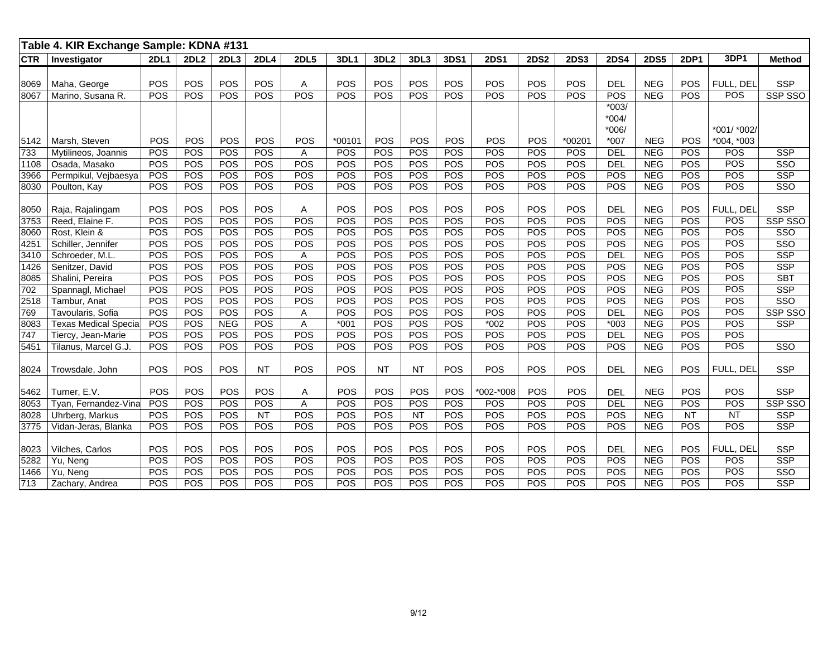|            | Table 4. KIR Exchange Sample: KDNA #131 |             |            |            |             |             |            |                  |           |            |             |             |             |             |             |             |             |                         |
|------------|-----------------------------------------|-------------|------------|------------|-------------|-------------|------------|------------------|-----------|------------|-------------|-------------|-------------|-------------|-------------|-------------|-------------|-------------------------|
| <b>CTR</b> | Investigator                            | <b>2DL1</b> | 2DL2       | 2DL3       | <b>2DL4</b> | <b>2DL5</b> | 3DL1       | 3DL <sub>2</sub> | 3DL3      | 3DS1       | <b>2DS1</b> | <b>2DS2</b> | <b>2DS3</b> | <b>2DS4</b> | <b>2DS5</b> | <b>2DP1</b> | 3DP1        | <b>Method</b>           |
|            |                                         |             |            |            |             |             |            |                  |           |            |             |             |             |             |             |             |             |                         |
| 8069       | Maha, George                            | POS         | POS        | <b>POS</b> | POS         | Α           | POS        | POS              | POS       | POS        | <b>POS</b>  | POS         | POS         | <b>DEL</b>  | <b>NEG</b>  | POS         | FULL, DEL   | <b>SSP</b>              |
| 8067       | Marino, Susana R.                       | POS         | POS        | POS        | POS         | POS         | POS        | POS              | POS       | POS        | POS         | POS         | POS         | POS         | <b>NEG</b>  | POS         | POS         | SSP SSO                 |
|            |                                         |             |            |            |             |             |            |                  |           |            |             |             |             | $*003/$     |             |             |             |                         |
|            |                                         |             |            |            |             |             |            |                  |           |            |             |             |             | $*004/$     |             |             |             |                         |
|            |                                         |             |            |            |             |             |            |                  |           |            |             |             |             | *006/       |             |             | *001/ *002/ |                         |
| 5142       | Marsh, Steven                           | POS         | POS        | POS        | POS         | POS         | *00101     | POS              | POS       | POS        | POS         | POS         | *00201      | *007        | <b>NEG</b>  | POS         | *004, *003  |                         |
| 733        | Mytilineos, Joannis                     | POS         | POS        | POS        | POS         | Α           | POS        | POS              | POS       | POS        | POS         | POS         | POS         | <b>DEL</b>  | <b>NEG</b>  | POS         | POS         | <b>SSP</b>              |
| 1108       | Osada, Masako                           | POS         | POS        | POS        | <b>POS</b>  | POS         | POS        | POS              | POS       | POS        | POS         | POS         | POS         | <b>DEL</b>  | <b>NEG</b>  | POS         | POS         | SSO                     |
| 3966       | Permpikul, Vejbaesya                    | POS         | <b>POS</b> | POS        | POS         | POS         | POS        | <b>POS</b>       | POS       | POS        | POS         | POS         | POS         | POS         | <b>NEG</b>  | POS         | POS         | <b>SSP</b>              |
| 8030       | Poulton, Kay                            | POS         | <b>POS</b> | POS        | <b>POS</b>  | POS         | POS        | <b>POS</b>       | POS       | POS        | POS         | <b>POS</b>  | <b>POS</b>  | POS         | <b>NEG</b>  | <b>POS</b>  | POS         | SSO                     |
|            |                                         |             |            |            |             |             |            |                  |           |            |             |             |             |             |             |             |             |                         |
| 8050       | Raja, Rajalingam                        | POS         | POS        | POS        | POS         | Α           | POS        | POS              | POS       | POS        | POS         | POS         | POS         | <b>DEL</b>  | <b>NEG</b>  | POS         | FULL. DEL   | <b>SSP</b>              |
| 3753       | Reed, Elaine F.                         | POS         | POS        | POS        | POS         | POS         | POS        | POS              | POS       | POS        | POS         | POS         | POS         | POS         | <b>NEG</b>  | POS         | POS         | SSP SSO                 |
| 8060       | Rost, Klein &                           | POS         | <b>POS</b> | POS        | <b>POS</b>  | POS         | <b>POS</b> | <b>POS</b>       | POS       | POS        | <b>POS</b>  | POS         | <b>POS</b>  | POS         | <b>NEG</b>  | <b>POS</b>  | POS         | S <sub>SO</sub>         |
| 4251       | Schiller, Jennifer                      | POS         | POS        | POS        | POS         | POS         | POS        | POS              | POS       | POS        | POS         | POS         | POS         | POS         | <b>NEG</b>  | POS         | POS         | SSO                     |
| 3410       | Schroeder, M.L.                         | POS         | POS        | POS        | POS         | Α           | POS        | POS              | POS       | POS        | POS         | POS         | POS         | <b>DEL</b>  | <b>NEG</b>  | POS         | <b>POS</b>  | <b>SSP</b>              |
| 1426       | Senitzer, David                         | POS         | POS        | POS        | POS         | POS         | POS        | POS              | POS       | POS        | POS         | POS         | POS         | POS         | <b>NEG</b>  | POS         | POS         | <b>SSP</b>              |
| 8085       | Shalini, Pereira                        | POS         | POS        | POS        | POS         | POS         | POS        | POS              | POS       | POS        | POS         | POS         | POS         | POS         | <b>NEG</b>  | POS         | POS         | <b>SBT</b>              |
| 702        | Spannagl, Michael                       | POS         | POS        | POS        | POS         | POS         | POS        | POS              | POS       | POS        | POS         | POS         | POS         | POS         | <b>NEG</b>  | POS         | POS         | <b>SSP</b>              |
| 2518       | Tambur, Anat                            | POS         | POS        | POS        | POS         | POS         | POS        | POS              | POS       | POS        | POS         | POS         | POS         | POS         | <b>NEG</b>  | POS         | POS         | S <sub>SO</sub>         |
| 769        | Tavoularis, Sofia                       | POS         | POS        | POS        | POS         | Α           | POS        | POS              | POS       | POS        | POS         | POS         | POS         | DEL         | <b>NEG</b>  | POS         | POS         | SSP SSO                 |
| 8083       | <b>Texas Medical Specia</b>             | POS         | POS        | <b>NEG</b> | POS         | A           | $*001$     | POS              | POS       | POS        | $*002$      | POS         | POS         | $*003$      | <b>NEG</b>  | POS         | POS         | <b>SSP</b>              |
| 747        | Tiercy, Jean-Marie                      | POS         | POS        | POS        | POS         | POS         | POS        | POS              | POS       | POS        | POS         | POS         | POS         | DEL         | <b>NEG</b>  | POS         | POS         |                         |
| 5451       | Tilanus, Marcel G.J.                    | POS         | POS        | POS        | POS         | POS         | POS        | POS              | POS       | POS        | POS         | POS         | POS         | POS         | <b>NEG</b>  | POS         | POS         | SSO                     |
|            |                                         |             |            |            |             |             |            |                  |           |            |             |             |             |             |             |             |             |                         |
| 8024       | Trowsdale, John                         | POS         | POS        | POS        | <b>NT</b>   | POS         | POS        | <b>NT</b>        | <b>NT</b> | POS        | POS         | POS         | POS         | <b>DEL</b>  | <b>NEG</b>  | POS         | FULL, DEL   | <b>SSP</b>              |
|            |                                         |             |            |            |             |             |            |                  |           |            |             |             |             |             |             |             |             |                         |
| 5462       | Turner, E.V.                            | POS         | POS        | POS        | POS         | Α           | POS        | POS              | POS       | POS        | *002-*008   | POS         | POS         | <b>DEL</b>  | <b>NEG</b>  | POS         | POS         | <b>SSP</b>              |
| 8053       | Tyan, Fernandez-Vina                    | POS         | <b>POS</b> | POS        | POS         | Α           | POS        | POS              | POS       | POS        | POS         | POS         | POS         | DEL         | <b>NEG</b>  | POS         | POS         | SSP SSO                 |
| 8028       | Uhrberg, Markus                         | POS         | POS        | POS        | <b>NT</b>   | POS         | POS        | <b>POS</b>       | <b>NT</b> | POS        | POS         | POS         | POS         | POS         | <b>NEG</b>  | NT          | <b>NT</b>   | <b>SSP</b>              |
| 3775       | Vidan-Jeras, Blanka                     | POS         | POS        | POS        | POS         | POS         | POS        | POS              | POS       | POS        | POS         | POS         | POS         | POS         | <b>NEG</b>  | POS         | POS         | <b>SSP</b>              |
|            |                                         |             |            |            |             |             |            |                  |           |            |             |             |             |             |             |             |             |                         |
| 8023       | Vilches, Carlos                         | POS         | POS        | POS        | POS         | POS         | POS        | POS              | POS       | <b>POS</b> | POS         | POS         | POS         | <b>DEL</b>  | <b>NEG</b>  | POS         | FULL, DEL   | <b>SSP</b>              |
| 5282       | Yu, Neng                                | POS         | POS        | POS        | POS         | POS         | POS        | POS              | POS       | POS        | POS         | POS         | POS         | POS         | NEG         | POS         | POS         | <b>SSP</b>              |
| 1466       | Yu, Neng                                | POS         | <b>POS</b> | POS        | POS         | POS         | POS        | POS              | POS       | POS        | POS         | POS         | POS         | POS         | <b>NEG</b>  | POS         | POS         | $\overline{\text{SSO}}$ |
| 713        | Zachary, Andrea                         | POS         | POS        | POS        | POS         | POS         | POS        | POS              | POS       | POS        | POS         | POS         | POS         | POS         | <b>NEG</b>  | POS         | POS         | <b>SSP</b>              |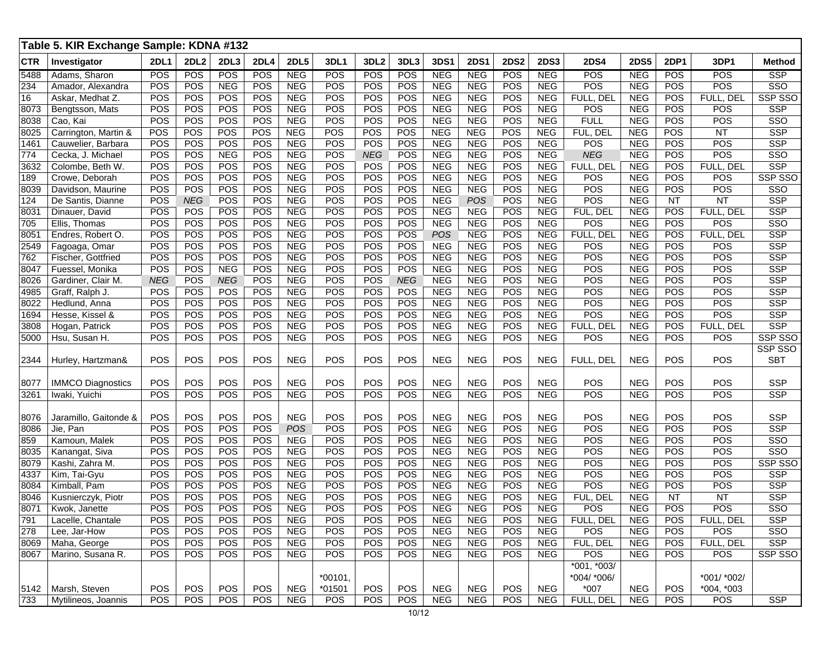| 2DL4<br><b>2DL2</b><br><b>2DL5</b><br><b>3DL1</b><br>3DL <sub>2</sub><br>3DL3<br>3DS1<br><b>2DS1</b><br><b>2DS2</b><br><b>2DS3</b><br><b>2DS4</b><br><b>2DS5</b><br>3DP1<br><b>CTR</b><br>Investigator<br><b>2DL1</b><br>2DL3<br><b>2DP1</b><br><b>POS</b><br><b>NEG</b><br>POS<br><b>POS</b><br><b>POS</b><br><b>POS</b><br><b>POS</b><br><b>NEG</b><br><b>POS</b><br><b>POS</b><br><b>NEG</b><br><b>POS</b><br><b>NEG</b><br><b>POS</b><br><b>NEG</b><br><b>POS</b><br>5488<br>Adams, Sharon<br>POS<br>POS<br>POS<br><b>NEG</b><br><b>POS</b><br><b>NEG</b><br>POS<br>POS<br>POS<br><b>NEG</b><br><b>NEG</b><br>POS<br><b>NEG</b><br>POS<br><b>NEG</b><br>POS<br>234<br>Amador, Alexandra<br>POS<br>POS<br>POS<br>POS<br><b>NEG</b><br>POS<br><b>POS</b><br>POS<br><b>NEG</b><br><b>NEG</b><br>POS<br><b>NEG</b><br>FULL, DEL<br><b>NEG</b><br>POS<br>FULL, DEL<br>16<br>Askar, Medhat Z.<br>POS<br>POS<br><b>POS</b><br>POS<br>POS<br><b>NEG</b><br>POS<br>POS<br>POS<br><b>NEG</b><br><b>NEG</b><br><b>NEG</b><br>POS<br><b>NEG</b><br>POS<br>POS<br>8073<br>Bengtsson, Mats<br>POS<br>POS<br>POS<br><b>POS</b><br><b>NEG</b><br>POS<br><b>POS</b><br>POS<br><b>NEG</b><br><b>NEG</b><br>POS<br><b>FULL</b><br><b>NEG</b><br>POS<br>Cao, Kai<br><b>NEG</b><br>POS<br>8038<br>POS<br>POS<br>POS<br>POS<br>POS<br><b>NEG</b><br>POS<br>POS<br><b>NEG</b><br><b>NEG</b><br>POS<br><b>NEG</b><br>FUL, DEL<br><b>NEG</b><br>POS<br><b>NT</b><br>8025<br>Carrington, Martin & | <b>Method</b><br><b>SSP</b><br>SSO<br>SSP SSO<br><b>SSP</b><br>SSO<br><b>SSP</b><br><b>SSP</b><br>$\overline{\text{SSO}}$<br><b>SSP</b><br>SSP SSO<br>SSO |
|-----------------------------------------------------------------------------------------------------------------------------------------------------------------------------------------------------------------------------------------------------------------------------------------------------------------------------------------------------------------------------------------------------------------------------------------------------------------------------------------------------------------------------------------------------------------------------------------------------------------------------------------------------------------------------------------------------------------------------------------------------------------------------------------------------------------------------------------------------------------------------------------------------------------------------------------------------------------------------------------------------------------------------------------------------------------------------------------------------------------------------------------------------------------------------------------------------------------------------------------------------------------------------------------------------------------------------------------------------------------------------------------------------------------------------------------------------------------------------|-----------------------------------------------------------------------------------------------------------------------------------------------------------|
|                                                                                                                                                                                                                                                                                                                                                                                                                                                                                                                                                                                                                                                                                                                                                                                                                                                                                                                                                                                                                                                                                                                                                                                                                                                                                                                                                                                                                                                                             |                                                                                                                                                           |
|                                                                                                                                                                                                                                                                                                                                                                                                                                                                                                                                                                                                                                                                                                                                                                                                                                                                                                                                                                                                                                                                                                                                                                                                                                                                                                                                                                                                                                                                             |                                                                                                                                                           |
|                                                                                                                                                                                                                                                                                                                                                                                                                                                                                                                                                                                                                                                                                                                                                                                                                                                                                                                                                                                                                                                                                                                                                                                                                                                                                                                                                                                                                                                                             |                                                                                                                                                           |
|                                                                                                                                                                                                                                                                                                                                                                                                                                                                                                                                                                                                                                                                                                                                                                                                                                                                                                                                                                                                                                                                                                                                                                                                                                                                                                                                                                                                                                                                             |                                                                                                                                                           |
|                                                                                                                                                                                                                                                                                                                                                                                                                                                                                                                                                                                                                                                                                                                                                                                                                                                                                                                                                                                                                                                                                                                                                                                                                                                                                                                                                                                                                                                                             |                                                                                                                                                           |
|                                                                                                                                                                                                                                                                                                                                                                                                                                                                                                                                                                                                                                                                                                                                                                                                                                                                                                                                                                                                                                                                                                                                                                                                                                                                                                                                                                                                                                                                             |                                                                                                                                                           |
|                                                                                                                                                                                                                                                                                                                                                                                                                                                                                                                                                                                                                                                                                                                                                                                                                                                                                                                                                                                                                                                                                                                                                                                                                                                                                                                                                                                                                                                                             |                                                                                                                                                           |
| POS<br>POS<br>POS<br><b>POS</b><br><b>NEG</b><br>POS<br>POS<br>POS<br><b>NEG</b><br><b>NEG</b><br>POS<br><b>NEG</b><br><b>NEG</b><br>POS<br>POS<br>POS<br>1461<br>Cauwelier, Barbara                                                                                                                                                                                                                                                                                                                                                                                                                                                                                                                                                                                                                                                                                                                                                                                                                                                                                                                                                                                                                                                                                                                                                                                                                                                                                        |                                                                                                                                                           |
| POS<br><b>NEG</b><br><b>NEG</b><br>POS<br>POS<br>POS<br><b>NEG</b><br>POS<br><b>NEG</b><br>POS<br><b>NEG</b><br>POS<br><b>NEG</b><br><b>NEG</b><br><b>NEG</b><br>POS<br>774<br>Cecka, J. Michael                                                                                                                                                                                                                                                                                                                                                                                                                                                                                                                                                                                                                                                                                                                                                                                                                                                                                                                                                                                                                                                                                                                                                                                                                                                                            |                                                                                                                                                           |
| POS<br>POS<br><b>POS</b><br><b>NEG</b><br><b>NEG</b><br><b>NEG</b><br>POS<br>FULL, DEL<br>POS<br>POS<br>POS<br>POS<br><b>NEG</b><br>FULL, DEL<br><b>NEG</b><br>POS<br>3632<br>Colombe, Beth W.                                                                                                                                                                                                                                                                                                                                                                                                                                                                                                                                                                                                                                                                                                                                                                                                                                                                                                                                                                                                                                                                                                                                                                                                                                                                              |                                                                                                                                                           |
| POS<br>POS<br>POS<br><b>POS</b><br><b>NEG</b><br>POS<br><b>POS</b><br>POS<br><b>NEG</b><br><b>NEG</b><br>POS<br>POS<br><b>NEG</b><br>POS<br><b>NEG</b><br>POS<br>189<br>Crowe, Deborah                                                                                                                                                                                                                                                                                                                                                                                                                                                                                                                                                                                                                                                                                                                                                                                                                                                                                                                                                                                                                                                                                                                                                                                                                                                                                      |                                                                                                                                                           |
| POS<br>POS<br><b>POS</b><br><b>NEG</b><br>POS<br><b>POS</b><br>POS<br><b>NEG</b><br>POS<br>POS<br><b>NEG</b><br><b>POS</b><br>POS<br><b>NEG</b><br><b>NEG</b><br>POS<br>8039<br>Davidson, Maurine                                                                                                                                                                                                                                                                                                                                                                                                                                                                                                                                                                                                                                                                                                                                                                                                                                                                                                                                                                                                                                                                                                                                                                                                                                                                           |                                                                                                                                                           |
| POS<br><b>POS</b><br><b>POS</b><br><b>NEG</b><br>POS<br>POS<br>POS<br><b>NEG</b><br>POS<br>POS<br><b>NEG</b><br>POS<br><b>NEG</b><br>NT<br><b>NEG</b><br><b>NT</b><br>124<br>De Santis, Dianne                                                                                                                                                                                                                                                                                                                                                                                                                                                                                                                                                                                                                                                                                                                                                                                                                                                                                                                                                                                                                                                                                                                                                                                                                                                                              | <b>SSP</b>                                                                                                                                                |
| <b>POS</b><br>POS<br><b>POS</b><br><b>NEG</b><br><b>POS</b><br>POS<br><b>NEG</b><br>POS<br>POS<br><b>NEG</b><br>POS<br><b>NEG</b><br>FUL, DEL<br><b>NEG</b><br>POS<br>FULL, DEL<br>8031<br>Dinauer, David                                                                                                                                                                                                                                                                                                                                                                                                                                                                                                                                                                                                                                                                                                                                                                                                                                                                                                                                                                                                                                                                                                                                                                                                                                                                   | <b>SSP</b>                                                                                                                                                |
| POS<br>POS<br>POS<br><b>POS</b><br><b>NEG</b><br>POS<br>POS<br><b>NEG</b><br><b>NEG</b><br>POS<br>POS<br><b>NEG</b><br>POS<br>POS<br>POS<br><b>NEG</b><br>705<br>Ellis, Thomas                                                                                                                                                                                                                                                                                                                                                                                                                                                                                                                                                                                                                                                                                                                                                                                                                                                                                                                                                                                                                                                                                                                                                                                                                                                                                              | SSO                                                                                                                                                       |
| POS<br>POS<br><b>POS</b><br><b>NEG</b><br><b>POS</b><br>POS<br><b>NEG</b><br>POS<br><b>NEG</b><br>8051<br>POS<br>POS<br>POS<br><b>NEG</b><br>FULL, DEL<br>POS<br>FULL, DEL<br>Endres, Robert O.                                                                                                                                                                                                                                                                                                                                                                                                                                                                                                                                                                                                                                                                                                                                                                                                                                                                                                                                                                                                                                                                                                                                                                                                                                                                             | <b>SSP</b>                                                                                                                                                |
| POS<br>POS<br>POS<br><b>POS</b><br><b>NEG</b><br>POS<br><b>POS</b><br>POS<br><b>NEG</b><br>POS<br><b>NEG</b><br>2549<br><b>NEG</b><br><b>NEG</b><br>POS<br>POS<br>POS<br>Fagoaga, Omar                                                                                                                                                                                                                                                                                                                                                                                                                                                                                                                                                                                                                                                                                                                                                                                                                                                                                                                                                                                                                                                                                                                                                                                                                                                                                      | <b>SSP</b>                                                                                                                                                |
| <b>NEG</b><br>POS<br>POS<br><b>POS</b><br><b>POS</b><br>POS<br>POS<br>POS<br><b>NEG</b><br><b>NEG</b><br>POS<br><b>NEG</b><br>POS<br><b>NEG</b><br>POS<br>POS<br>762<br>Fischer, Gottfried                                                                                                                                                                                                                                                                                                                                                                                                                                                                                                                                                                                                                                                                                                                                                                                                                                                                                                                                                                                                                                                                                                                                                                                                                                                                                  | <b>SSP</b>                                                                                                                                                |
| POS<br>POS<br><b>NEG</b><br>POS<br>POS<br><b>NEG</b><br><b>NEG</b><br>POS<br>POS<br><b>NEG</b><br>POS<br><b>POS</b><br><b>NEG</b><br>POS<br><b>NEG</b><br>POS<br>Fuessel, Monika<br>8047                                                                                                                                                                                                                                                                                                                                                                                                                                                                                                                                                                                                                                                                                                                                                                                                                                                                                                                                                                                                                                                                                                                                                                                                                                                                                    | <b>SSP</b>                                                                                                                                                |
| POS<br><b>POS</b><br><b>NEG</b><br>POS<br><b>NEG</b><br>POS<br>POS<br><b>NEG</b><br>POS<br><b>NEG</b><br><b>NEG</b><br>POS<br><b>NEG</b><br><b>NEG</b><br><b>NEG</b><br>POS<br>Gardiner, Clair M.<br>8026                                                                                                                                                                                                                                                                                                                                                                                                                                                                                                                                                                                                                                                                                                                                                                                                                                                                                                                                                                                                                                                                                                                                                                                                                                                                   | <b>SSP</b>                                                                                                                                                |
| POS<br>POS<br><b>POS</b><br><b>NEG</b><br><b>POS</b><br>POS<br><b>NEG</b><br><b>NEG</b><br>POS<br>POS<br><b>NEG</b><br>POS<br>Graff, Ralph J.<br>POS<br>POS<br><b>NEG</b><br>POS<br>4985                                                                                                                                                                                                                                                                                                                                                                                                                                                                                                                                                                                                                                                                                                                                                                                                                                                                                                                                                                                                                                                                                                                                                                                                                                                                                    | <b>SSP</b>                                                                                                                                                |
| POS<br>POS<br>POS<br><b>POS</b><br><b>POS</b><br>POS<br>POS<br>POS<br>POS<br>POS<br>8022<br><b>NEG</b><br>POS<br><b>NEG</b><br><b>NEG</b><br><b>NEG</b><br><b>NEG</b><br>Hedlund, Anna                                                                                                                                                                                                                                                                                                                                                                                                                                                                                                                                                                                                                                                                                                                                                                                                                                                                                                                                                                                                                                                                                                                                                                                                                                                                                      | <b>SSP</b>                                                                                                                                                |
| POS<br>POS<br>POS<br>POS<br><b>POS</b><br><b>POS</b><br><b>NEG</b><br>POS<br>POS<br>POS<br><b>NEG</b><br><b>NEG</b><br>POS<br><b>NEG</b><br><b>NEG</b><br>POS<br>1694<br>Hesse, Kissel &                                                                                                                                                                                                                                                                                                                                                                                                                                                                                                                                                                                                                                                                                                                                                                                                                                                                                                                                                                                                                                                                                                                                                                                                                                                                                    | <b>SSP</b>                                                                                                                                                |
| POS<br>POS<br><b>NEG</b><br><b>NEG</b><br>POS<br>POS<br>POS<br>POS<br>POS<br><b>NEG</b><br>POS<br><b>NEG</b><br>FULL, DEL<br><b>NEG</b><br>POS<br>FULL, DEL<br>Hogan, Patrick<br>3808                                                                                                                                                                                                                                                                                                                                                                                                                                                                                                                                                                                                                                                                                                                                                                                                                                                                                                                                                                                                                                                                                                                                                                                                                                                                                       | <b>SSP</b>                                                                                                                                                |
| <b>POS</b><br>POS<br><b>NEG</b><br>POS<br>POS<br>POS<br>POS<br>POS<br><b>NEG</b><br><b>NEG</b><br>POS<br><b>NEG</b><br>POS<br><b>NEG</b><br>POS<br>POS<br>Hsu, Susan H.<br>5000                                                                                                                                                                                                                                                                                                                                                                                                                                                                                                                                                                                                                                                                                                                                                                                                                                                                                                                                                                                                                                                                                                                                                                                                                                                                                             | SSP SSO                                                                                                                                                   |
|                                                                                                                                                                                                                                                                                                                                                                                                                                                                                                                                                                                                                                                                                                                                                                                                                                                                                                                                                                                                                                                                                                                                                                                                                                                                                                                                                                                                                                                                             | SSP SSO                                                                                                                                                   |
| POS<br>POS<br>POS<br>POS<br><b>NEG</b><br>POS<br>POS<br>POS<br><b>NEG</b><br><b>NEG</b><br>POS<br><b>NEG</b><br><b>NEG</b><br>FULL, DEL<br><b>POS</b><br><b>POS</b><br>2344<br>Hurley, Hartzman&                                                                                                                                                                                                                                                                                                                                                                                                                                                                                                                                                                                                                                                                                                                                                                                                                                                                                                                                                                                                                                                                                                                                                                                                                                                                            | <b>SBT</b>                                                                                                                                                |
|                                                                                                                                                                                                                                                                                                                                                                                                                                                                                                                                                                                                                                                                                                                                                                                                                                                                                                                                                                                                                                                                                                                                                                                                                                                                                                                                                                                                                                                                             |                                                                                                                                                           |
| POS<br>POS<br>POS<br>POS<br>POS<br><b>NEG</b><br>POS<br>POS<br><b>NEG</b><br><b>NEG</b><br>POS<br><b>NEG</b><br>POS<br><b>IMMCO Diagnostics</b><br><b>NEG</b><br><b>POS</b><br><b>POS</b><br>8077                                                                                                                                                                                                                                                                                                                                                                                                                                                                                                                                                                                                                                                                                                                                                                                                                                                                                                                                                                                                                                                                                                                                                                                                                                                                           | <b>SSP</b>                                                                                                                                                |
| <b>POS</b><br>POS<br>POS<br>POS<br><b>NEG</b><br>POS<br>POS<br>POS<br><b>NEG</b><br><b>NEG</b><br>POS<br><b>NEG</b><br>POS<br><b>NEG</b><br><b>POS</b><br>POS<br>Iwaki, Yuichi<br>3261                                                                                                                                                                                                                                                                                                                                                                                                                                                                                                                                                                                                                                                                                                                                                                                                                                                                                                                                                                                                                                                                                                                                                                                                                                                                                      | <b>SSP</b>                                                                                                                                                |
|                                                                                                                                                                                                                                                                                                                                                                                                                                                                                                                                                                                                                                                                                                                                                                                                                                                                                                                                                                                                                                                                                                                                                                                                                                                                                                                                                                                                                                                                             |                                                                                                                                                           |
| POS<br>POS<br>POS<br>POS<br><b>NEG</b><br>POS<br>POS<br>POS<br><b>NEG</b><br><b>NEG</b><br>POS<br>POS<br><b>NEG</b><br>POS<br>POS<br>8076<br><b>NEG</b><br>Jaramillo, Gaitonde &                                                                                                                                                                                                                                                                                                                                                                                                                                                                                                                                                                                                                                                                                                                                                                                                                                                                                                                                                                                                                                                                                                                                                                                                                                                                                            | <b>SSP</b>                                                                                                                                                |
| POS<br>POS<br>POS<br><b>POS</b><br><b>POS</b><br>POS<br>POS<br><b>POS</b><br>POS<br><b>NEG</b><br><b>NEG</b><br>POS<br><b>NEG</b><br>POS<br><b>NEG</b><br>POS<br>Jie, Pan<br>8086                                                                                                                                                                                                                                                                                                                                                                                                                                                                                                                                                                                                                                                                                                                                                                                                                                                                                                                                                                                                                                                                                                                                                                                                                                                                                           | <b>SSP</b>                                                                                                                                                |
| POS<br>POS<br>POS<br><b>POS</b><br>POS<br><b>NEG</b><br><b>NEG</b><br>POS<br>POS<br>POS<br>Kamoun, Malek<br>POS<br><b>NEG</b><br>POS<br><b>NEG</b><br><b>NEG</b><br>POS<br>859                                                                                                                                                                                                                                                                                                                                                                                                                                                                                                                                                                                                                                                                                                                                                                                                                                                                                                                                                                                                                                                                                                                                                                                                                                                                                              | SSO                                                                                                                                                       |
| POS<br>POS<br><b>POS</b><br><b>NEG</b><br><b>POS</b><br>POS<br><b>NEG</b><br>POS<br>POS<br><b>NEG</b><br>POS<br>POS<br>POS<br><b>NEG</b><br><b>NEG</b><br>POS<br>Kanangat, Siva<br>8035                                                                                                                                                                                                                                                                                                                                                                                                                                                                                                                                                                                                                                                                                                                                                                                                                                                                                                                                                                                                                                                                                                                                                                                                                                                                                     | $\overline{\text{SSO}}$                                                                                                                                   |
| POS<br><b>POS</b><br><b>NEG</b><br>POS<br><b>NEG</b><br>POS<br><b>NEG</b><br>POS<br>POS<br>POS<br>POS<br><b>NEG</b><br><b>NEG</b><br>POS<br>POS<br>POS<br>8079<br>Kashi, Zahra M.                                                                                                                                                                                                                                                                                                                                                                                                                                                                                                                                                                                                                                                                                                                                                                                                                                                                                                                                                                                                                                                                                                                                                                                                                                                                                           | SSP SSO                                                                                                                                                   |
| POS<br>POS<br>POS<br><b>POS</b><br><b>NEG</b><br>POS<br><b>POS</b><br>POS<br><b>NEG</b><br>POS<br>POS<br>POS<br>4337<br><b>NEG</b><br><b>NEG</b><br><b>NEG</b><br>POS<br>Kim, Tai-Gyu                                                                                                                                                                                                                                                                                                                                                                                                                                                                                                                                                                                                                                                                                                                                                                                                                                                                                                                                                                                                                                                                                                                                                                                                                                                                                       | <b>SSP</b>                                                                                                                                                |
| POS<br>POS<br>POS<br><b>NEG</b><br>POS<br>POS<br>POS<br><b>NEG</b><br><b>NEG</b><br>POS<br>POS<br><b>NEG</b><br>POS<br>Kimball, Pam<br>POS<br><b>NEG</b><br>POS<br>8084                                                                                                                                                                                                                                                                                                                                                                                                                                                                                                                                                                                                                                                                                                                                                                                                                                                                                                                                                                                                                                                                                                                                                                                                                                                                                                     | <b>SSP</b>                                                                                                                                                |
| POS<br>POS<br>POS<br><b>POS</b><br><b>NEG</b><br>POS<br>POS<br>POS<br><b>NEG</b><br><b>NEG</b><br>POS<br><b>NEG</b><br><b>NEG</b><br>NT<br>FUL, DEL<br><b>NT</b><br>8046<br>Kusnierczyk, Piotr                                                                                                                                                                                                                                                                                                                                                                                                                                                                                                                                                                                                                                                                                                                                                                                                                                                                                                                                                                                                                                                                                                                                                                                                                                                                              | <b>SSP</b>                                                                                                                                                |
| <b>POS</b><br>8071<br>POS<br>POS<br><b>POS</b><br><b>NEG</b><br>POS<br>POS<br>POS<br><b>NEG</b><br>POS<br><b>NEG</b><br>POS<br>POS<br><b>NEG</b><br><b>NEG</b><br>POS<br>Kwok, Janette                                                                                                                                                                                                                                                                                                                                                                                                                                                                                                                                                                                                                                                                                                                                                                                                                                                                                                                                                                                                                                                                                                                                                                                                                                                                                      | SSO                                                                                                                                                       |
| <b>NEG</b><br>POS<br>791<br>Lacelle, Chantale<br>POS<br>POS<br>POS<br>POS<br>POS<br>POS<br><b>NEG</b><br><b>NEG</b><br>POS<br><b>NEG</b><br>FULL, DEL<br>NEG<br>POS<br>FULL, DEL                                                                                                                                                                                                                                                                                                                                                                                                                                                                                                                                                                                                                                                                                                                                                                                                                                                                                                                                                                                                                                                                                                                                                                                                                                                                                            | <b>SSP</b>                                                                                                                                                |
| 278<br>POS<br>POS<br>POS<br>POS<br><b>NEG</b><br>POS<br>POS<br><b>NEG</b><br><b>POS</b><br>POS<br>Lee, Jar-How<br>POS<br><b>NEG</b><br>POS<br><b>NEG</b><br>NEG<br>POS                                                                                                                                                                                                                                                                                                                                                                                                                                                                                                                                                                                                                                                                                                                                                                                                                                                                                                                                                                                                                                                                                                                                                                                                                                                                                                      | SSO                                                                                                                                                       |
| POS<br>POS<br><b>NEG</b><br><b>NEG</b><br>POS<br>POS<br><b>POS</b><br>POS<br>POS<br><b>NEG</b><br>POS<br><b>NEG</b><br>FUL, DEL<br><b>NEG</b><br>POS<br>FULL, DEL<br>Maha, George<br>8069                                                                                                                                                                                                                                                                                                                                                                                                                                                                                                                                                                                                                                                                                                                                                                                                                                                                                                                                                                                                                                                                                                                                                                                                                                                                                   | <b>SSP</b>                                                                                                                                                |
| Marino, Susana R.<br>POS<br>POS<br><b>NEG</b><br>POS<br>POS<br><b>NEG</b><br><b>NEG</b><br><b>NEG</b><br>POS<br>POS<br>POS<br>POS<br>POS<br>POS<br>NEG<br><b>POS</b><br>8067                                                                                                                                                                                                                                                                                                                                                                                                                                                                                                                                                                                                                                                                                                                                                                                                                                                                                                                                                                                                                                                                                                                                                                                                                                                                                                | SSP SSO                                                                                                                                                   |
| *001, *003/                                                                                                                                                                                                                                                                                                                                                                                                                                                                                                                                                                                                                                                                                                                                                                                                                                                                                                                                                                                                                                                                                                                                                                                                                                                                                                                                                                                                                                                                 |                                                                                                                                                           |
| *004/ *006/<br>$*00101,$<br>*001/ *002/                                                                                                                                                                                                                                                                                                                                                                                                                                                                                                                                                                                                                                                                                                                                                                                                                                                                                                                                                                                                                                                                                                                                                                                                                                                                                                                                                                                                                                     |                                                                                                                                                           |
| POS<br>POS<br>POS<br>$*01501$<br>POS<br>POS<br>$*007$<br>$*004, *003$<br>Marsh, Steven<br>POS<br><b>NEG</b><br>POS<br><b>NEG</b><br><b>NEG</b><br><b>NEG</b><br>NEG<br>POS<br>5142                                                                                                                                                                                                                                                                                                                                                                                                                                                                                                                                                                                                                                                                                                                                                                                                                                                                                                                                                                                                                                                                                                                                                                                                                                                                                          |                                                                                                                                                           |
| <b>POS</b><br><b>POS</b><br>POS<br><b>NEG</b><br>POS<br>POS<br>POS<br>POS<br><b>NEG</b><br><b>NEG</b><br>POS<br><b>NEG</b><br>FULL, DEL<br><b>NEG</b><br>POS<br>POS<br>733<br>Mytilineos, Joannis                                                                                                                                                                                                                                                                                                                                                                                                                                                                                                                                                                                                                                                                                                                                                                                                                                                                                                                                                                                                                                                                                                                                                                                                                                                                           | SSP                                                                                                                                                       |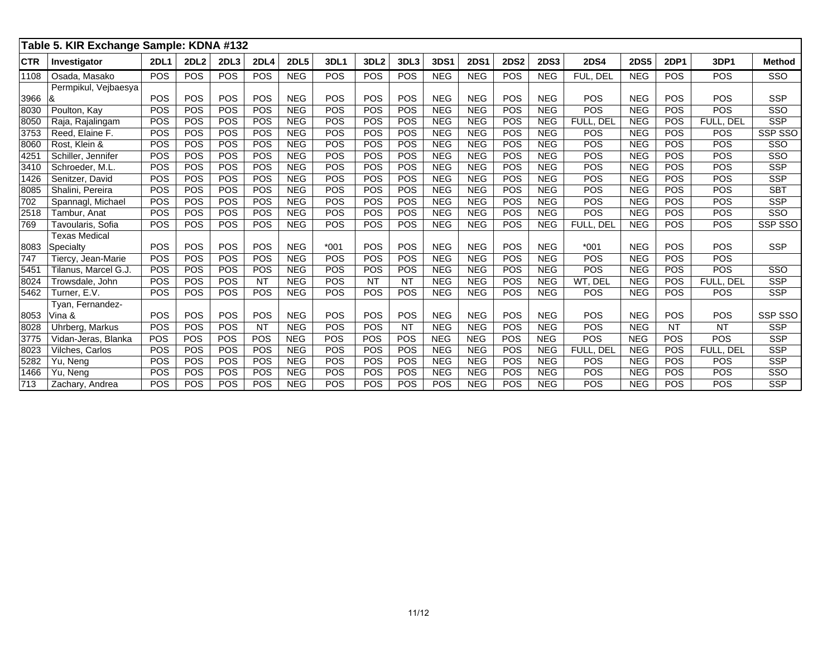|            | Table 5. KIR Exchange Sample: KDNA #132 |             |             |            |             |             |             |                  |            |             |             |             |             |             |             |             |            |                 |
|------------|-----------------------------------------|-------------|-------------|------------|-------------|-------------|-------------|------------------|------------|-------------|-------------|-------------|-------------|-------------|-------------|-------------|------------|-----------------|
| <b>CTR</b> | Investigator                            | <b>2DL1</b> | <b>2DL2</b> | 2DL3       | <b>2DL4</b> | <b>2DL5</b> | <b>3DL1</b> | 3DL <sub>2</sub> | 3DL3       | <b>3DS1</b> | <b>2DS1</b> | <b>2DS2</b> | <b>2DS3</b> | <b>2DS4</b> | <b>2DS5</b> | <b>2DP1</b> | 3DP1       | <b>Method</b>   |
| 1108       | Osada, Masako                           | POS         | POS         | POS        | <b>POS</b>  | <b>NEG</b>  | POS         | <b>POS</b>       | POS        | <b>NEG</b>  | <b>NEG</b>  | POS         | <b>NEG</b>  | FUL, DEL    | <b>NEG</b>  | POS         | POS        | SSO             |
|            | Permpikul, Veibaesya                    |             |             |            |             |             |             |                  |            |             |             |             |             |             |             |             |            |                 |
| 3966       | ا&                                      | POS         | POS         | POS        | POS         | <b>NEG</b>  | POS         | POS              | POS        | <b>NEG</b>  | <b>NEG</b>  | POS         | <b>NEG</b>  | POS         | <b>NEG</b>  | POS         | POS        | <b>SSP</b>      |
| 8030       | Poulton, Kay                            | POS         | POS         | POS        | POS         | <b>NEG</b>  | POS         | POS              | POS        | <b>NEG</b>  | <b>NEG</b>  | POS         | <b>NEG</b>  | POS         | <b>NEG</b>  | POS         | <b>POS</b> | SSO             |
| 8050       | Raja, Rajalingam                        | POS         | POS         | POS        | <b>POS</b>  | <b>NEG</b>  | POS         | POS              | POS        | <b>NEG</b>  | <b>NEG</b>  | POS         | <b>NEG</b>  | FULL, DEL   | <b>NEG</b>  | POS         | FULL, DEL  | <b>SSP</b>      |
| 3753       | Reed, Elaine F.                         | POS         | POS         | POS        | POS         | <b>NEG</b>  | POS         | POS              | POS        | <b>NEG</b>  | <b>NEG</b>  | POS         | <b>NEG</b>  | POS         | <b>NEG</b>  | POS         | POS        | SSP SSO         |
| 8060       | Rost. Klein &                           | POS         | POS         | POS        | POS         | <b>NEG</b>  | POS         | POS              | POS        | <b>NEG</b>  | <b>NEG</b>  | POS         | <b>NEG</b>  | POS         | <b>NEG</b>  | POS         | POS        | SSO             |
| 4251       | Schiller, Jennifer                      | POS         | POS         | POS        | POS         | <b>NEG</b>  | POS         | POS              | POS        | <b>NEG</b>  | <b>NEG</b>  | POS         | <b>NEG</b>  | POS         | <b>NEG</b>  | POS         | POS        | SSO             |
| 3410       | Schroeder, M.L.                         | POS         | POS         | POS        | <b>POS</b>  | <b>NEG</b>  | POS         | POS              | POS        | <b>NEG</b>  | <b>NEG</b>  | POS         | <b>NEG</b>  | POS         | <b>NEG</b>  | POS         | POS        | <b>SSP</b>      |
| 1426       | Senitzer, David                         | POS         | POS         | POS        | <b>POS</b>  | <b>NEG</b>  | POS         | POS              | POS        | <b>NEG</b>  | <b>NEG</b>  | POS         | <b>NEG</b>  | POS         | <b>NEG</b>  | POS         | POS        | <b>SSP</b>      |
| 8085       | Shalini, Pereira                        | POS         | POS         | POS        | POS         | <b>NEG</b>  | POS         | POS              | <b>POS</b> | <b>NEG</b>  | <b>NEG</b>  | POS         | <b>NEG</b>  | POS         | <b>NEG</b>  | <b>POS</b>  | POS        | <b>SBT</b>      |
| 702        | Spannagl, Michael                       | POS         | POS         | POS        | <b>POS</b>  | <b>NEG</b>  | POS         | POS              | POS        | <b>NEG</b>  | <b>NEG</b>  | POS         | <b>NEG</b>  | POS         | <b>NEG</b>  | POS         | POS        | <b>SSP</b>      |
| 2518       | Tambur, Anat                            | POS         | POS         | POS        | POS         | <b>NEG</b>  | POS         | POS              | POS        | <b>NEG</b>  | <b>NEG</b>  | POS         | <b>NEG</b>  | POS         | <b>NEG</b>  | POS         | POS        | SSO             |
| 769        | Tavoularis, Sofia                       | POS         | POS         | POS        | <b>POS</b>  | <b>NEG</b>  | POS         | POS              | POS        | <b>NEG</b>  | <b>NEG</b>  | POS         | <b>NEG</b>  | FULL, DEL   | <b>NEG</b>  | POS         | POS        | SSP SSO         |
|            | <b>Texas Medical</b>                    |             |             |            |             |             |             |                  |            |             |             |             |             |             |             |             |            |                 |
| 8083       | Specialty                               | POS         | POS         | POS        | POS         | <b>NEG</b>  | $*001$      | POS              | POS        | <b>NEG</b>  | <b>NEG</b>  | POS         | <b>NEG</b>  | $*001$      | <b>NEG</b>  | POS         | POS        | <b>SSP</b>      |
| 747        | Tiercy, Jean-Marie                      | POS         | POS         | POS        | POS         | <b>NEG</b>  | POS         | POS              | POS        | <b>NEG</b>  | <b>NEG</b>  | POS         | <b>NEG</b>  | POS         | <b>NEG</b>  | POS         | POS        |                 |
| 545'       | Tilanus, Marcel G.J.                    | POS         | POS         | POS        | <b>POS</b>  | <b>NEG</b>  | POS         | POS              | POS        | <b>NEG</b>  | <b>NEG</b>  | POS         | <b>NEG</b>  | POS         | <b>NEG</b>  | POS         | POS        | SSO             |
| 8024       | Trowsdale, John                         | POS         | POS         | <b>POS</b> | <b>NT</b>   | <b>NEG</b>  | POS         | <b>NT</b>        | <b>NT</b>  | <b>NEG</b>  | <b>NEG</b>  | <b>POS</b>  | <b>NEG</b>  | WT, DEL     | <b>NEG</b>  | POS         | FULL. DEL  | <b>SSP</b>      |
| 5462       | Turner, E.V.                            | POS         | POS         | POS        | <b>POS</b>  | <b>NEG</b>  | POS         | POS              | POS        | <b>NEG</b>  | <b>NEG</b>  | <b>POS</b>  | <b>NEG</b>  | POS         | <b>NEG</b>  | <b>POS</b>  | POS        | <b>SSP</b>      |
|            | Tyan, Fernandez-                        |             |             |            |             |             |             |                  |            |             |             |             |             |             |             |             |            |                 |
| 8053       | Vina &                                  | POS         | POS         | POS        | POS         | <b>NEG</b>  | POS         | POS              | POS        | <b>NEG</b>  | <b>NEG</b>  | POS         | <b>NEG</b>  | POS         | <b>NEG</b>  | POS         | POS        | <b>SSP SSO</b>  |
| 8028       | Uhrberg, Markus                         | POS         | POS         | POS        | <b>NT</b>   | <b>NEG</b>  | POS         | POS              | NT         | <b>NEG</b>  | <b>NEG</b>  | POS         | <b>NEG</b>  | POS         | <b>NEG</b>  | <b>NT</b>   | <b>NT</b>  | <b>SSP</b>      |
| 3775       | Vidan-Jeras, Blanka                     | <b>POS</b>  | POS         | POS        | POS         | <b>NEG</b>  | POS         | POS              | POS        | <b>NEG</b>  | <b>NEG</b>  | POS         | <b>NEG</b>  | POS         | <b>NEG</b>  | <b>POS</b>  | POS        | <b>SSP</b>      |
| 8023       | Vilches, Carlos                         | POS         | POS         | POS        | POS         | <b>NEG</b>  | POS         | POS              | POS        | <b>NEG</b>  | <b>NEG</b>  | <b>POS</b>  | <b>NEG</b>  | FULL. DEL   | <b>NEG</b>  | POS         | FULL, DEL  | <b>SSP</b>      |
| 5282       | Yu, Neng                                | POS         | POS         | POS        | POS         | <b>NEG</b>  | POS         | POS              | POS        | <b>NEG</b>  | <b>NEG</b>  | POS         | <b>NEG</b>  | POS         | <b>NEG</b>  | POS         | POS        | <b>SSP</b>      |
| 1466       | Yu, Neng                                | POS         | POS         | POS        | POS         | <b>NEG</b>  | POS         | POS              | POS        | <b>NEG</b>  | <b>NEG</b>  | POS         | <b>NEG</b>  | POS         | <b>NEG</b>  | POS         | POS        | S <sub>SO</sub> |
| 713        | Zachary, Andrea                         | POS         | POS         | POS        | <b>POS</b>  | <b>NEG</b>  | POS         | <b>POS</b>       | POS        | POS         | <b>NEG</b>  | <b>POS</b>  | <b>NEG</b>  | POS         | <b>NEG</b>  | <b>POS</b>  | POS        | <b>SSP</b>      |